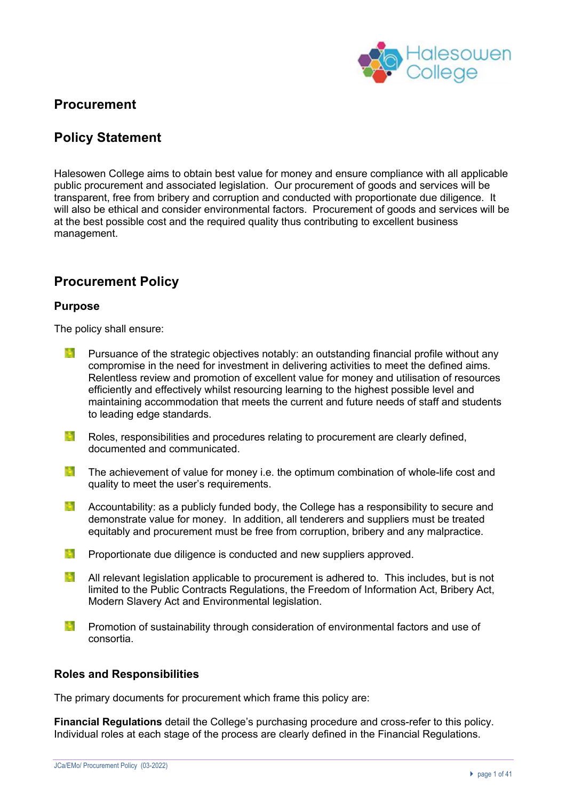

# **Procurement**

# **Policy Statement**

Halesowen College aims to obtain best value for money and ensure compliance with all applicable public procurement and associated legislation. Our procurement of goods and services will be transparent, free from bribery and corruption and conducted with proportionate due diligence. It will also be ethical and consider environmental factors. Procurement of goods and services will be at the best possible cost and the required quality thus contributing to excellent business management.

# **Procurement Policy**

## **Purpose**

The policy shall ensure:

- **TANK** Pursuance of the strategic objectives notably: an outstanding financial profile without any compromise in the need for investment in delivering activities to meet the defined aims. Relentless review and promotion of excellent value for money and utilisation of resources efficiently and effectively whilst resourcing learning to the highest possible level and maintaining accommodation that meets the current and future needs of staff and students to leading edge standards.
- **Read** Roles, responsibilities and procedures relating to procurement are clearly defined, documented and communicated.
- 15. The achievement of value for money i.e. the optimum combination of whole-life cost and quality to meet the user's requirements.
- **Barbara** Accountability: as a publicly funded body, the College has a responsibility to secure and demonstrate value for money. In addition, all tenderers and suppliers must be treated equitably and procurement must be free from corruption, bribery and any malpractice.
- **Proportionate due diligence is conducted and new suppliers approved.**
- **M** All relevant legislation applicable to procurement is adhered to. This includes, but is not limited to the Public Contracts Regulations, the Freedom of Information Act, Bribery Act, Modern Slavery Act and Environmental legislation.
- **TANK** Promotion of sustainability through consideration of environmental factors and use of consortia.

### **Roles and Responsibilities**

The primary documents for procurement which frame this policy are:

**Financial Regulations** detail the College's purchasing procedure and cross-refer to this policy. Individual roles at each stage of the process are clearly defined in the Financial Regulations.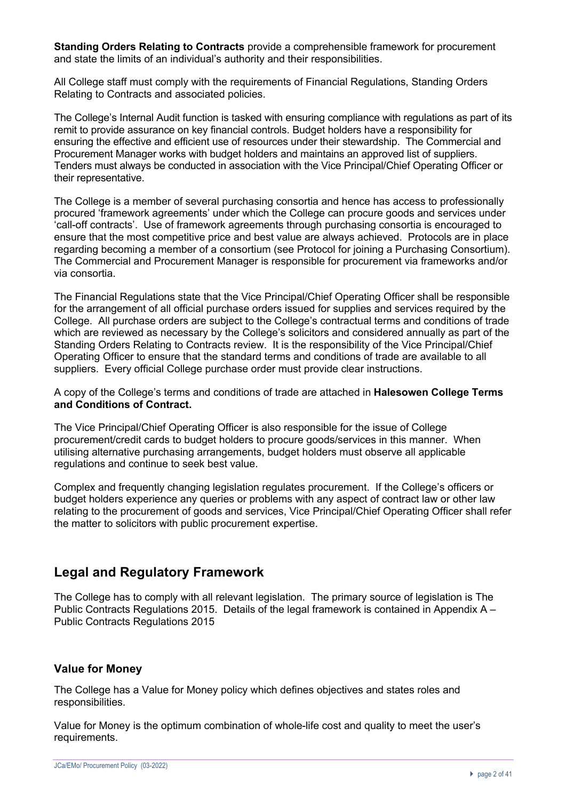**Standing Orders Relating to Contracts** provide a comprehensible framework for procurement and state the limits of an individual's authority and their responsibilities.

All College staff must comply with the requirements of Financial Regulations, Standing Orders Relating to Contracts and associated policies.

The College's Internal Audit function is tasked with ensuring compliance with regulations as part of its remit to provide assurance on key financial controls. Budget holders have a responsibility for ensuring the effective and efficient use of resources under their stewardship. The Commercial and Procurement Manager works with budget holders and maintains an approved list of suppliers. Tenders must always be conducted in association with the Vice Principal/Chief Operating Officer or their representative.

The College is a member of several purchasing consortia and hence has access to professionally procured 'framework agreements' under which the College can procure goods and services under 'call-off contracts'. Use of framework agreements through purchasing consortia is encouraged to ensure that the most competitive price and best value are always achieved. Protocols are in place regarding becoming a member of a consortium (see Protocol for joining a Purchasing Consortium). The Commercial and Procurement Manager is responsible for procurement via frameworks and/or via consortia.

The Financial Regulations state that the Vice Principal/Chief Operating Officer shall be responsible for the arrangement of all official purchase orders issued for supplies and services required by the College. All purchase orders are subject to the College's contractual terms and conditions of trade which are reviewed as necessary by the College's solicitors and considered annually as part of the Standing Orders Relating to Contracts review. It is the responsibility of the Vice Principal/Chief Operating Officer to ensure that the standard terms and conditions of trade are available to all suppliers. Every official College purchase order must provide clear instructions.

A copy of the College's terms and conditions of trade are attached in **Halesowen College Terms and Conditions of Contract.**

The Vice Principal/Chief Operating Officer is also responsible for the issue of College procurement/credit cards to budget holders to procure goods/services in this manner. When utilising alternative purchasing arrangements, budget holders must observe all applicable regulations and continue to seek best value.

Complex and frequently changing legislation regulates procurement. If the College's officers or budget holders experience any queries or problems with any aspect of contract law or other law relating to the procurement of goods and services, Vice Principal/Chief Operating Officer shall refer the matter to solicitors with public procurement expertise.

# **Legal and Regulatory Framework**

The College has to comply with all relevant legislation. The primary source of legislation is The Public Contracts Regulations 2015. Details of the legal framework is contained in Appendix A – Public Contracts Regulations 2015

#### **Value for Money**

The College has a Value for Money policy which defines objectives and states roles and responsibilities.

Value for Money is the optimum combination of whole-life cost and quality to meet the user's requirements.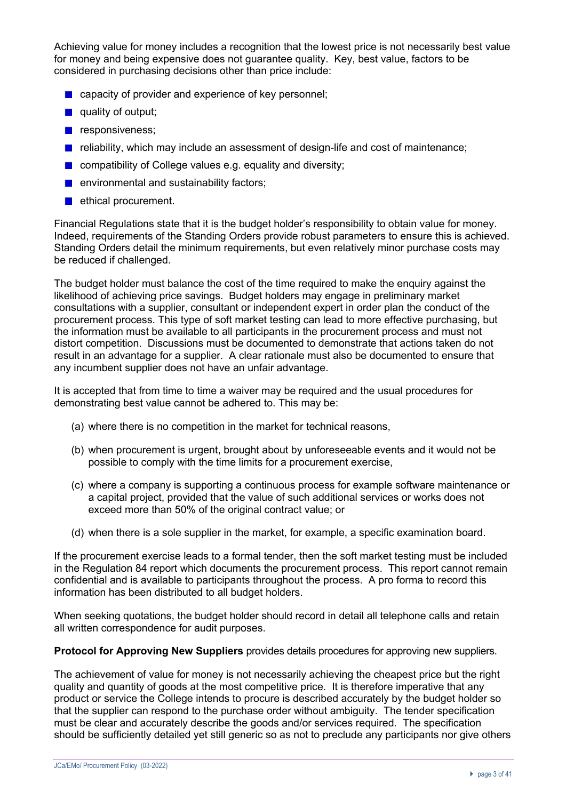Achieving value for money includes a recognition that the lowest price is not necessarily best value for money and being expensive does not guarantee quality. Key, best value, factors to be considered in purchasing decisions other than price include:

- capacity of provider and experience of key personnel:
- quality of output:
- $\blacksquare$  responsiveness:
- $\blacksquare$  reliability, which may include an assessment of design-life and cost of maintenance;
- **Compatibility of College values e.g. equality and diversity;**
- $\blacksquare$  environmental and sustainability factors;
- ethical procurement.

Financial Regulations state that it is the budget holder's responsibility to obtain value for money. Indeed, requirements of the Standing Orders provide robust parameters to ensure this is achieved. Standing Orders detail the minimum requirements, but even relatively minor purchase costs may be reduced if challenged.

The budget holder must balance the cost of the time required to make the enquiry against the likelihood of achieving price savings. Budget holders may engage in preliminary market consultations with a supplier, consultant or independent expert in order plan the conduct of the procurement process. This type of soft market testing can lead to more effective purchasing, but the information must be available to all participants in the procurement process and must not distort competition. Discussions must be documented to demonstrate that actions taken do not result in an advantage for a supplier. A clear rationale must also be documented to ensure that any incumbent supplier does not have an unfair advantage.

It is accepted that from time to time a waiver may be required and the usual procedures for demonstrating best value cannot be adhered to. This may be:

- (a) where there is no competition in the market for technical reasons,
- (b) when procurement is urgent, brought about by unforeseeable events and it would not be possible to comply with the time limits for a procurement exercise,
- (c) where a company is supporting a continuous process for example software maintenance or a capital project, provided that the value of such additional services or works does not exceed more than 50% of the original contract value; or
- (d) when there is a sole supplier in the market, for example, a specific examination board.

If the procurement exercise leads to a formal tender, then the soft market testing must be included in the Regulation 84 report which documents the procurement process. This report cannot remain confidential and is available to participants throughout the process. A pro forma to record this information has been distributed to all budget holders.

When seeking quotations, the budget holder should record in detail all telephone calls and retain all written correspondence for audit purposes.

**Protocol for Approving New Suppliers** provides details procedures for approving new suppliers.

The achievement of value for money is not necessarily achieving the cheapest price but the right quality and quantity of goods at the most competitive price. It is therefore imperative that any product or service the College intends to procure is described accurately by the budget holder so that the supplier can respond to the purchase order without ambiguity. The tender specification must be clear and accurately describe the goods and/or services required. The specification should be sufficiently detailed yet still generic so as not to preclude any participants nor give others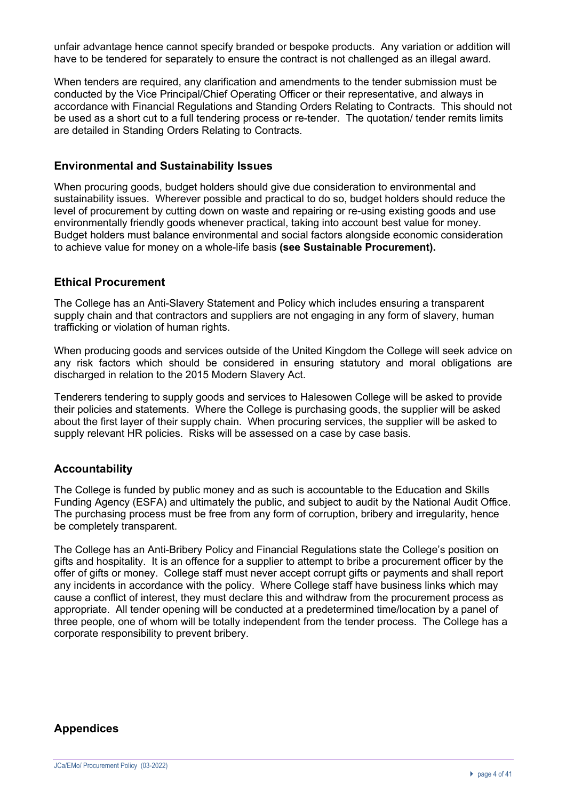unfair advantage hence cannot specify branded or bespoke products. Any variation or addition will have to be tendered for separately to ensure the contract is not challenged as an illegal award.

When tenders are required, any clarification and amendments to the tender submission must be conducted by the Vice Principal/Chief Operating Officer or their representative, and always in accordance with Financial Regulations and Standing Orders Relating to Contracts. This should not be used as a short cut to a full tendering process or re-tender. The quotation/ tender remits limits are detailed in Standing Orders Relating to Contracts.

### **Environmental and Sustainability Issues**

When procuring goods, budget holders should give due consideration to environmental and sustainability issues. Wherever possible and practical to do so, budget holders should reduce the level of procurement by cutting down on waste and repairing or re-using existing goods and use environmentally friendly goods whenever practical, taking into account best value for money. Budget holders must balance environmental and social factors alongside economic consideration to achieve value for money on a whole-life basis **(see Sustainable Procurement).**

### **Ethical Procurement**

The College has an Anti-Slavery Statement and Policy which includes ensuring a transparent supply chain and that contractors and suppliers are not engaging in any form of slavery, human trafficking or violation of human rights.

When producing goods and services outside of the United Kingdom the College will seek advice on any risk factors which should be considered in ensuring statutory and moral obligations are discharged in relation to the 2015 Modern Slavery Act.

Tenderers tendering to supply goods and services to Halesowen College will be asked to provide their policies and statements. Where the College is purchasing goods, the supplier will be asked about the first layer of their supply chain. When procuring services, the supplier will be asked to supply relevant HR policies. Risks will be assessed on a case by case basis.

### **Accountability**

The College is funded by public money and as such is accountable to the Education and Skills Funding Agency (ESFA) and ultimately the public, and subject to audit by the National Audit Office. The purchasing process must be free from any form of corruption, bribery and irregularity, hence be completely transparent.

The College has an Anti-Bribery Policy and Financial Regulations state the College's position on gifts and hospitality.It is an offence for a supplier to attempt to bribe a procurement officer by the offer of gifts or money. College staff must never accept corrupt gifts or payments and shall report any incidents in accordance with the policy. Where College staff have business links which may cause a conflict of interest, they must declare this and withdraw from the procurement process as appropriate. All tender opening will be conducted at a predetermined time/location by a panel of three people, one of whom will be totally independent from the tender process. The College has a corporate responsibility to prevent bribery.

#### **Appendices**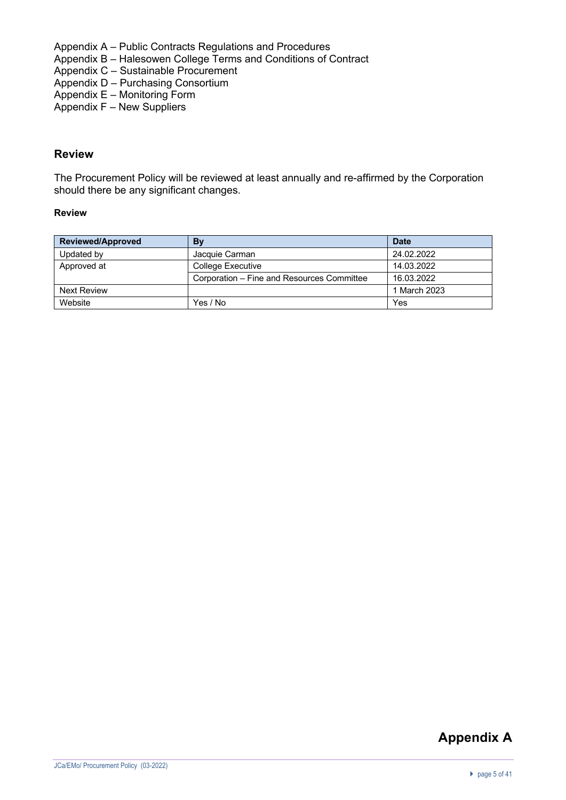Appendix A – Public Contracts Regulations and Procedures

- Appendix B Halesowen College Terms and Conditions of Contract
- Appendix C Sustainable Procurement
- Appendix D Purchasing Consortium
- Appendix E Monitoring Form
- Appendix F New Suppliers

### **Review**

The Procurement Policy will be reviewed at least annually and re-affirmed by the Corporation should there be any significant changes.

#### **Review**

| <b>Reviewed/Approved</b> | By                                         | <b>Date</b>  |
|--------------------------|--------------------------------------------|--------------|
| Updated by               | Jacquie Carman                             | 24.02.2022   |
| Approved at              | <b>College Executive</b>                   | 14.03.2022   |
|                          | Corporation – Fine and Resources Committee | 16.03.2022   |
| <b>Next Review</b>       |                                            | 1 March 2023 |
| Website                  | Yes / No                                   | Yes          |

# **Appendix A**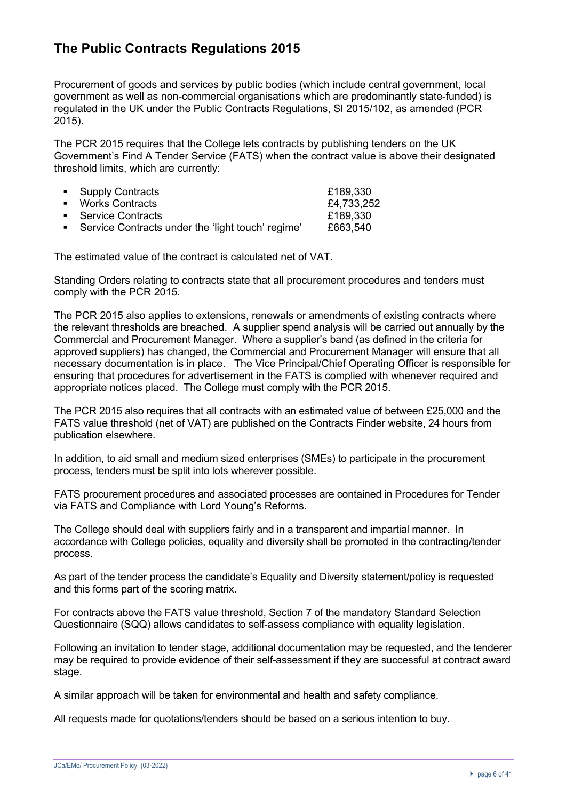# **The Public Contracts Regulations 2015**

Procurement of goods and services by public bodies (which include central government, local government as well as non-commercial organisations which are predominantly state-funded) is regulated in the UK under the Public Contracts Regulations, SI 2015/102, as amended (PCR 2015).

The PCR 2015 requires that the College lets contracts by publishing tenders on the UK Government's Find A Tender Service (FATS) when the contract value is above their designated threshold limits, which are currently:

| • Supply Contracts                                  | £189,330   |
|-----------------------------------------------------|------------|
| ■ Works Contracts                                   | £4,733,252 |
| • Service Contracts                                 | £189,330   |
| • Service Contracts under the 'light touch' regime' | £663,540   |

The estimated value of the contract is calculated net of VAT.

Standing Orders relating to contracts state that all procurement procedures and tenders must comply with the PCR 2015.

The PCR 2015 also applies to extensions, renewals or amendments of existing contracts where the relevant thresholds are breached. A supplier spend analysis will be carried out annually by the Commercial and Procurement Manager. Where a supplier's band (as defined in the criteria for approved suppliers) has changed, the Commercial and Procurement Manager will ensure that all necessary documentation is in place. The Vice Principal/Chief Operating Officer is responsible for ensuring that procedures for advertisement in the FATS is complied with whenever required and appropriate notices placed. The College must comply with the PCR 2015.

The PCR 2015 also requires that all contracts with an estimated value of between £25,000 and the FATS value threshold (net of VAT) are published on the Contracts Finder website, 24 hours from publication elsewhere.

In addition, to aid small and medium sized enterprises (SMEs) to participate in the procurement process, tenders must be split into lots wherever possible.

FATS procurement procedures and associated processes are contained in Procedures for Tender via FATS and Compliance with Lord Young's Reforms.

The College should deal with suppliers fairly and in a transparent and impartial manner. In accordance with College policies, equality and diversity shall be promoted in the contracting/tender process.

As part of the tender process the candidate's Equality and Diversity statement/policy is requested and this forms part of the scoring matrix.

For contracts above the FATS value threshold, Section 7 of the mandatory Standard Selection Questionnaire (SQQ) allows candidates to self-assess compliance with equality legislation.

Following an invitation to tender stage, additional documentation may be requested, and the tenderer may be required to provide evidence of their self-assessment if they are successful at contract award stage.

A similar approach will be taken for environmental and health and safety compliance.

All requests made for quotations/tenders should be based on a serious intention to buy.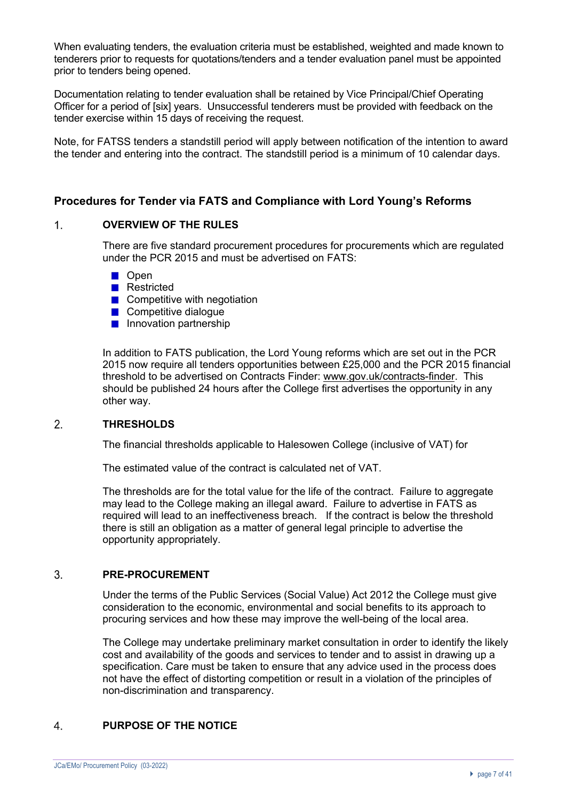When evaluating tenders, the evaluation criteria must be established, weighted and made known to tenderers prior to requests for quotations/tenders and a tender evaluation panel must be appointed prior to tenders being opened.

Documentation relating to tender evaluation shall be retained by Vice Principal/Chief Operating Officer for a period of [six] years. Unsuccessful tenderers must be provided with feedback on the tender exercise within 15 days of receiving the request.

Note, for FATSS tenders a standstill period will apply between notification of the intention to award the tender and entering into the contract. The standstill period is a minimum of 10 calendar days.

### **Procedures for Tender via FATS and Compliance with Lord Young's Reforms**

#### $\mathbf{1}$ **OVERVIEW OF THE RULES**

There are five standard procurement procedures for procurements which are regulated under the PCR 2015 and must be advertised on FATS:

- **Den**
- **Restricted**
- $\blacksquare$  Competitive with negotiation
- **Competitive dialogue**
- **Innovation partnership**

In addition to FATS publication, the Lord Young reforms which are set out in the PCR 2015 now require all tenders opportunities between £25,000 and the PCR 2015 financial threshold to be advertised on Contracts Finder: www.gov.uk/contracts-finder. This should be published 24 hours after the College first advertises the opportunity in any other way.

#### $\overline{2}$ **THRESHOLDS**

The financial thresholds applicable to Halesowen College (inclusive of VAT) for

The estimated value of the contract is calculated net of VAT.

The thresholds are for the total value for the life of the contract. Failure to aggregate may lead to the College making an illegal award. Failure to advertise in FATS as required will lead to an ineffectiveness breach. If the contract is below the threshold there is still an obligation as a matter of general legal principle to advertise the opportunity appropriately.

#### $3.$ **PRE-PROCUREMENT**

Under the terms of the Public Services (Social Value) Act 2012 the College must give consideration to the economic, environmental and social benefits to its approach to procuring services and how these may improve the well-being of the local area.

The College may undertake preliminary market consultation in order to identify the likely cost and availability of the goods and services to tender and to assist in drawing up a specification. Care must be taken to ensure that any advice used in the process does not have the effect of distorting competition or result in a violation of the principles of non-discrimination and transparency.

#### $\overline{4}$ **PURPOSE OF THE NOTICE**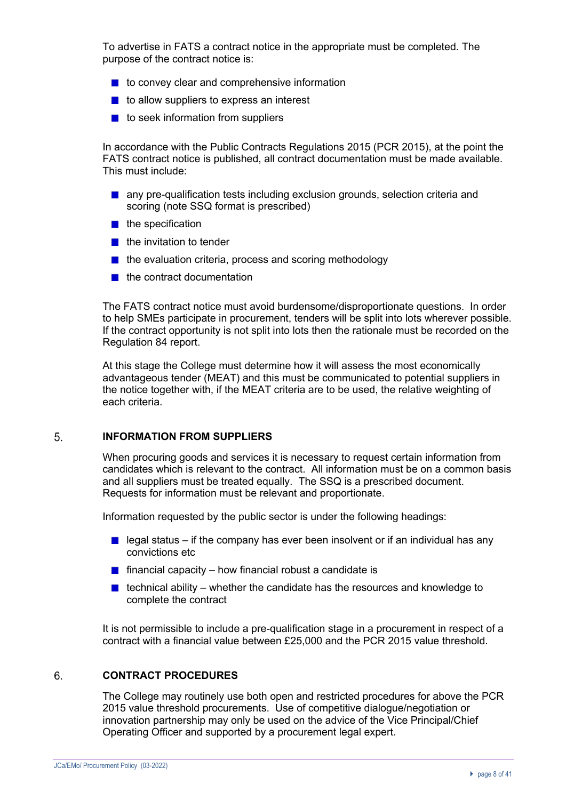To advertise in FATS a contract notice in the appropriate must be completed. The purpose of the contract notice is:

- $\blacksquare$  to convey clear and comprehensive information
- $\blacksquare$  to allow suppliers to express an interest
- $\blacksquare$  to seek information from suppliers

In accordance with the Public Contracts Regulations 2015 (PCR 2015), at the point the FATS contract notice is published, all contract documentation must be made available. This must include:

- **a** any pre-qualification tests including exclusion grounds, selection criteria and scoring (note SSQ format is prescribed)
- $\blacksquare$  the specification
- $\blacksquare$  the invitation to tender
- $\blacksquare$  the evaluation criteria, process and scoring methodology
- $\blacksquare$  the contract documentation

The FATS contract notice must avoid burdensome/disproportionate questions. In order to help SMEs participate in procurement, tenders will be split into lots wherever possible. If the contract opportunity is not split into lots then the rationale must be recorded on the Regulation 84 report.

At this stage the College must determine how it will assess the most economically advantageous tender (MEAT) and this must be communicated to potential suppliers in the notice together with, if the MEAT criteria are to be used, the relative weighting of each criteria.

#### $5<sub>1</sub>$ **INFORMATION FROM SUPPLIERS**

When procuring goods and services it is necessary to request certain information from candidates which is relevant to the contract. All information must be on a common basis and all suppliers must be treated equally. The SSQ is a prescribed document. Requests for information must be relevant and proportionate.

Information requested by the public sector is under the following headings:

- legal status if the company has ever been insolvent or if an individual has any convictions etc
- **financial capacity how financial robust a candidate is**
- $\blacksquare$  technical ability whether the candidate has the resources and knowledge to complete the contract

It is not permissible to include a pre-qualification stage in a procurement in respect of a contract with a financial value between £25,000 and the PCR 2015 value threshold.

#### 6. **CONTRACT PROCEDURES**

The College may routinely use both open and restricted procedures for above the PCR 2015 value threshold procurements. Use of competitive dialogue/negotiation or innovation partnership may only be used on the advice of the Vice Principal/Chief Operating Officer and supported by a procurement legal expert.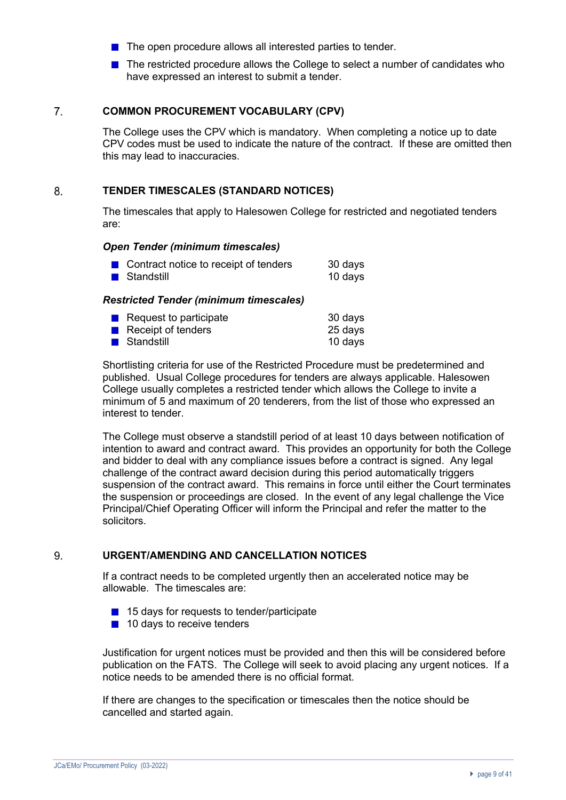- $\blacksquare$  The open procedure allows all interested parties to tender.
- The restricted procedure allows the College to select a number of candidates who have expressed an interest to submit a tender.

#### $\overline{7}$ . **COMMON PROCUREMENT VOCABULARY (CPV)**

The College uses the CPV which is mandatory. When completing a notice up to date CPV codes must be used to indicate the nature of the contract. If these are omitted then this may lead to inaccuracies.

#### 8. **TENDER TIMESCALES (STANDARD NOTICES)**

The timescales that apply to Halesowen College for restricted and negotiated tenders are:

#### *Open Tender (minimum timescales)*

| ■ Contract notice to receipt of tenders | 30 days |
|-----------------------------------------|---------|
| <b>■</b> Standstill                     | 10 days |

### *Restricted Tender (minimum timescales)*

| $\blacksquare$ Request to participate | 30 days |
|---------------------------------------|---------|
| $\blacksquare$ Receipt of tenders     | 25 days |
| <b>■</b> Standstill                   | 10 days |

Shortlisting criteria for use of the Restricted Procedure must be predetermined and published. Usual College procedures for tenders are always applicable. Halesowen College usually completes a restricted tender which allows the College to invite a minimum of 5 and maximum of 20 tenderers, from the list of those who expressed an interest to tender.

The College must observe a standstill period of at least 10 days between notification of intention to award and contract award. This provides an opportunity for both the College and bidder to deal with any compliance issues before a contract is signed. Any legal challenge of the contract award decision during this period automatically triggers suspension of the contract award. This remains in force until either the Court terminates the suspension or proceedings are closed. In the event of any legal challenge the Vice Principal/Chief Operating Officer will inform the Principal and refer the matter to the solicitors.

#### 9. **URGENT/AMENDING AND CANCELLATION NOTICES**

If a contract needs to be completed urgently then an accelerated notice may be allowable. The timescales are:

- 15 days for requests to tender/participate
- $\blacksquare$  10 days to receive tenders

Justification for urgent notices must be provided and then this will be considered before publication on the FATS. The College will seek to avoid placing any urgent notices. If a notice needs to be amended there is no official format.

If there are changes to the specification or timescales then the notice should be cancelled and started again.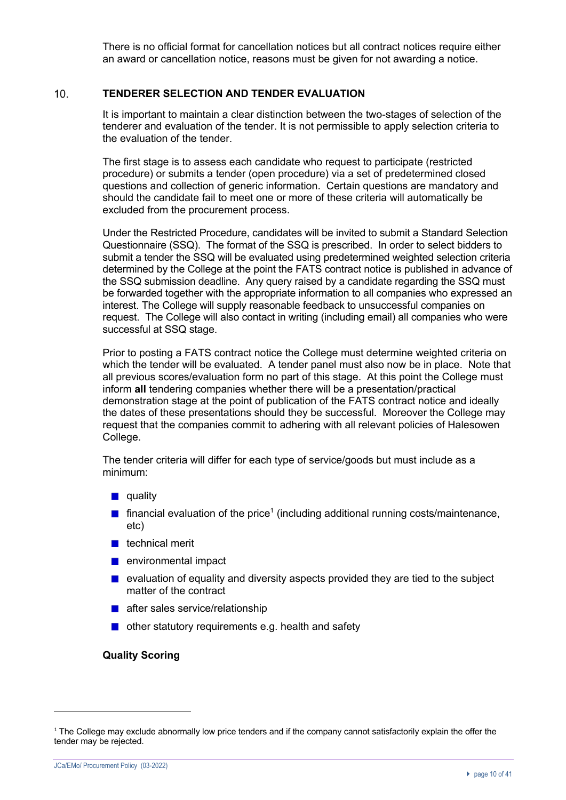There is no official format for cancellation notices but all contract notices require either an award or cancellation notice, reasons must be given for not awarding a notice.

#### $10<sub>1</sub>$ **TENDERER SELECTION AND TENDER EVALUATION**

It is important to maintain a clear distinction between the two-stages of selection of the tenderer and evaluation of the tender. It is not permissible to apply selection criteria to the evaluation of the tender.

The first stage is to assess each candidate who request to participate (restricted procedure) or submits a tender (open procedure) via a set of predetermined closed questions and collection of generic information. Certain questions are mandatory and should the candidate fail to meet one or more of these criteria will automatically be excluded from the procurement process.

Under the Restricted Procedure, candidates will be invited to submit a Standard Selection Questionnaire (SSQ). The format of the SSQ is prescribed. In order to select bidders to submit a tender the SSQ will be evaluated using predetermined weighted selection criteria determined by the College at the point the FATS contract notice is published in advance of the SSQ submission deadline. Any query raised by a candidate regarding the SSQ must be forwarded together with the appropriate information to all companies who expressed an interest. The College will supply reasonable feedback to unsuccessful companies on request. The College will also contact in writing (including email) all companies who were successful at SSQ stage.

Prior to posting a FATS contract notice the College must determine weighted criteria on which the tender will be evaluated. A tender panel must also now be in place. Note that all previous scores/evaluation form no part of this stage. At this point the College must inform **all** tendering companies whether there will be a presentation/practical demonstration stage at the point of publication of the FATS contract notice and ideally the dates of these presentations should they be successful. Moreover the College may request that the companies commit to adhering with all relevant policies of Halesowen College.

The tender criteria will differ for each type of service/goods but must include as a minimum:

- $\blacksquare$  quality
- $\blacksquare$  financial evaluation of the price<sup>1</sup> (including additional running costs/maintenance, etc)
- $\blacksquare$  technical merit
- **n** environmental impact
- **E** evaluation of equality and diversity aspects provided they are tied to the subject matter of the contract
- **after sales service/relationship**
- $\blacksquare$  other statutory requirements e.g. health and safety

#### **Quality Scoring**

 $1$  The College may exclude abnormally low price tenders and if the company cannot satisfactorily explain the offer the tender may be rejected.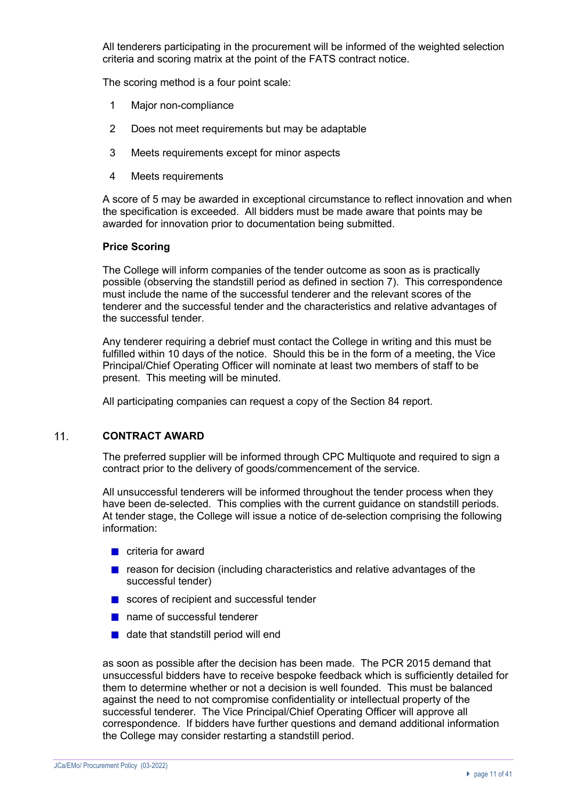All tenderers participating in the procurement will be informed of the weighted selection criteria and scoring matrix at the point of the FATS contract notice.

The scoring method is a four point scale:

- 1 Major non-compliance
- 2 Does not meet requirements but may be adaptable
- 3 Meets requirements except for minor aspects
- 4 Meets requirements

A score of 5 may be awarded in exceptional circumstance to reflect innovation and when the specification is exceeded. All bidders must be made aware that points may be awarded for innovation prior to documentation being submitted.

### **Price Scoring**

The College will inform companies of the tender outcome as soon as is practically possible (observing the standstill period as defined in section 7). This correspondence must include the name of the successful tenderer and the relevant scores of the tenderer and the successful tender and the characteristics and relative advantages of the successful tender.

Any tenderer requiring a debrief must contact the College in writing and this must be fulfilled within 10 days of the notice. Should this be in the form of a meeting, the Vice Principal/Chief Operating Officer will nominate at least two members of staff to be present. This meeting will be minuted.

All participating companies can request a copy of the Section 84 report.

#### $11$ **CONTRACT AWARD**

The preferred supplier will be informed through CPC Multiquote and required to sign a contract prior to the delivery of goods/commencement of the service.

All unsuccessful tenderers will be informed throughout the tender process when they have been de-selected. This complies with the current guidance on standstill periods. At tender stage, the College will issue a notice of de-selection comprising the following information:

- $\blacksquare$  criteria for award
- $\blacksquare$  reason for decision (including characteristics and relative advantages of the successful tender)
- scores of recipient and successful tender
- name of successful tenderer
- $\blacksquare$  date that standstill period will end

as soon as possible after the decision has been made. The PCR 2015 demand that unsuccessful bidders have to receive bespoke feedback which is sufficiently detailed for them to determine whether or not a decision is well founded. This must be balanced against the need to not compromise confidentiality or intellectual property of the successful tenderer. The Vice Principal/Chief Operating Officer will approve all correspondence. If bidders have further questions and demand additional information the College may consider restarting a standstill period.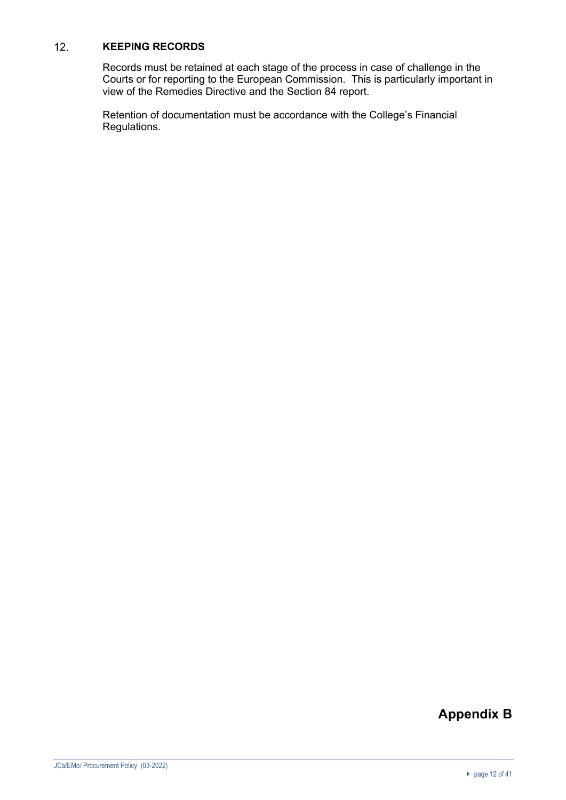#### $12.$ **KEEPING RECORDS**

Records must be retained at each stage of the process in case of challenge in the Courts or for reporting to the European Commission. This is particularly important in view of the Remedies Directive and the Section 84 report.

Retention of documentation must be accordance with the College's Financial Regulations.

# **Appendix B**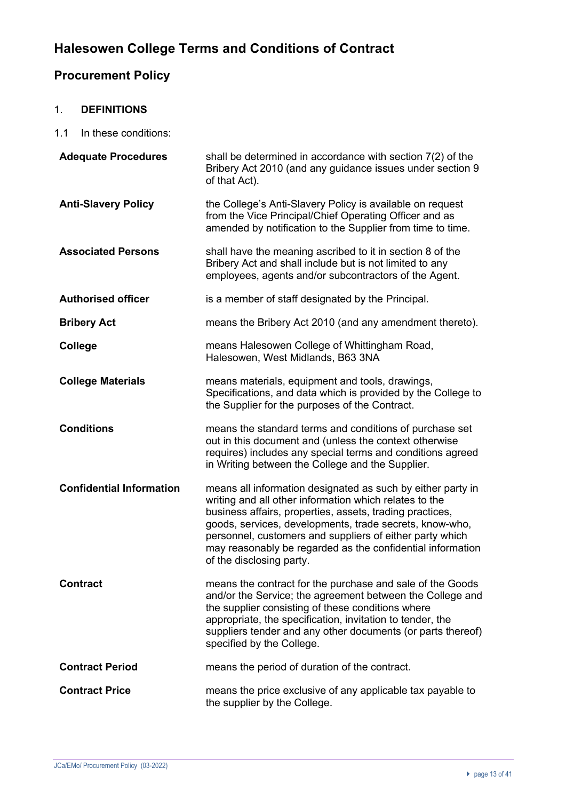# **Halesowen College Terms and Conditions of Contract**

# **Procurement Policy**

# 1. **DEFINITIONS**

1.1 In these conditions:

| <b>Adequate Procedures</b>      | shall be determined in accordance with section 7(2) of the<br>Bribery Act 2010 (and any guidance issues under section 9<br>of that Act).                                                                                                                                                                                                                                                           |
|---------------------------------|----------------------------------------------------------------------------------------------------------------------------------------------------------------------------------------------------------------------------------------------------------------------------------------------------------------------------------------------------------------------------------------------------|
| <b>Anti-Slavery Policy</b>      | the College's Anti-Slavery Policy is available on request<br>from the Vice Principal/Chief Operating Officer and as<br>amended by notification to the Supplier from time to time.                                                                                                                                                                                                                  |
| <b>Associated Persons</b>       | shall have the meaning ascribed to it in section 8 of the<br>Bribery Act and shall include but is not limited to any<br>employees, agents and/or subcontractors of the Agent.                                                                                                                                                                                                                      |
| <b>Authorised officer</b>       | is a member of staff designated by the Principal.                                                                                                                                                                                                                                                                                                                                                  |
| <b>Bribery Act</b>              | means the Bribery Act 2010 (and any amendment thereto).                                                                                                                                                                                                                                                                                                                                            |
| <b>College</b>                  | means Halesowen College of Whittingham Road,<br>Halesowen, West Midlands, B63 3NA                                                                                                                                                                                                                                                                                                                  |
| <b>College Materials</b>        | means materials, equipment and tools, drawings,<br>Specifications, and data which is provided by the College to<br>the Supplier for the purposes of the Contract.                                                                                                                                                                                                                                  |
| <b>Conditions</b>               | means the standard terms and conditions of purchase set<br>out in this document and (unless the context otherwise<br>requires) includes any special terms and conditions agreed<br>in Writing between the College and the Supplier.                                                                                                                                                                |
| <b>Confidential Information</b> | means all information designated as such by either party in<br>writing and all other information which relates to the<br>business affairs, properties, assets, trading practices,<br>goods, services, developments, trade secrets, know-who,<br>personnel, customers and suppliers of either party which<br>may reasonably be regarded as the confidential information<br>of the disclosing party. |
| <b>Contract</b>                 | means the contract for the purchase and sale of the Goods<br>and/or the Service; the agreement between the College and<br>the supplier consisting of these conditions where<br>appropriate, the specification, invitation to tender, the<br>suppliers tender and any other documents (or parts thereof)<br>specified by the College.                                                               |
| <b>Contract Period</b>          | means the period of duration of the contract.                                                                                                                                                                                                                                                                                                                                                      |
| <b>Contract Price</b>           | means the price exclusive of any applicable tax payable to<br>the supplier by the College.                                                                                                                                                                                                                                                                                                         |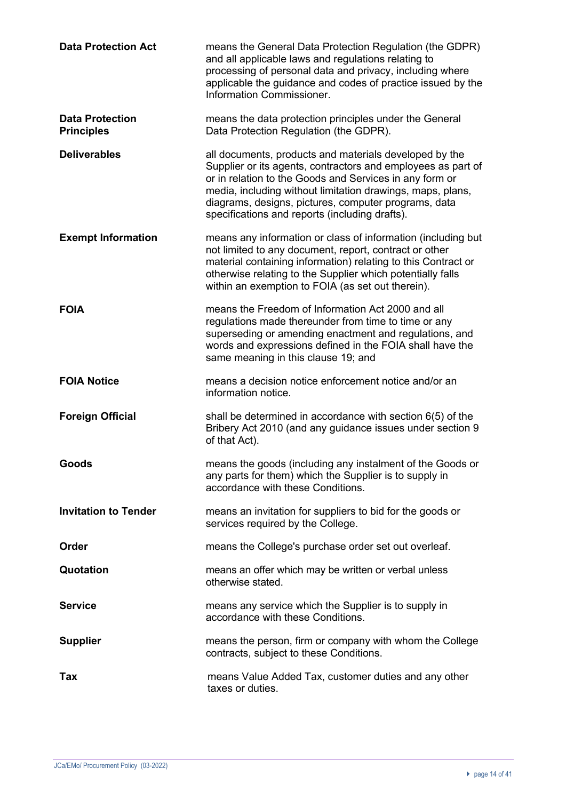| <b>Data Protection Act</b>                  | means the General Data Protection Regulation (the GDPR)<br>and all applicable laws and regulations relating to<br>processing of personal data and privacy, including where<br>applicable the guidance and codes of practice issued by the<br>Information Commissioner.                                                                                    |
|---------------------------------------------|-----------------------------------------------------------------------------------------------------------------------------------------------------------------------------------------------------------------------------------------------------------------------------------------------------------------------------------------------------------|
| <b>Data Protection</b><br><b>Principles</b> | means the data protection principles under the General<br>Data Protection Regulation (the GDPR).                                                                                                                                                                                                                                                          |
| <b>Deliverables</b>                         | all documents, products and materials developed by the<br>Supplier or its agents, contractors and employees as part of<br>or in relation to the Goods and Services in any form or<br>media, including without limitation drawings, maps, plans,<br>diagrams, designs, pictures, computer programs, data<br>specifications and reports (including drafts). |
| <b>Exempt Information</b>                   | means any information or class of information (including but<br>not limited to any document, report, contract or other<br>material containing information) relating to this Contract or<br>otherwise relating to the Supplier which potentially falls<br>within an exemption to FOIA (as set out therein).                                                |
| <b>FOIA</b>                                 | means the Freedom of Information Act 2000 and all<br>regulations made thereunder from time to time or any<br>superseding or amending enactment and regulations, and<br>words and expressions defined in the FOIA shall have the<br>same meaning in this clause 19; and                                                                                    |
| <b>FOIA Notice</b>                          | means a decision notice enforcement notice and/or an                                                                                                                                                                                                                                                                                                      |
|                                             | information notice.                                                                                                                                                                                                                                                                                                                                       |
| <b>Foreign Official</b>                     | shall be determined in accordance with section 6(5) of the<br>Bribery Act 2010 (and any guidance issues under section 9<br>of that Act).                                                                                                                                                                                                                  |
| Goods                                       | means the goods (including any instalment of the Goods or<br>any parts for them) which the Supplier is to supply in<br>accordance with these Conditions.                                                                                                                                                                                                  |
| <b>Invitation to Tender</b>                 | means an invitation for suppliers to bid for the goods or<br>services required by the College.                                                                                                                                                                                                                                                            |
| Order                                       | means the College's purchase order set out overleaf.                                                                                                                                                                                                                                                                                                      |
| Quotation                                   | means an offer which may be written or verbal unless<br>otherwise stated.                                                                                                                                                                                                                                                                                 |
| <b>Service</b>                              | means any service which the Supplier is to supply in<br>accordance with these Conditions.                                                                                                                                                                                                                                                                 |
| <b>Supplier</b>                             | means the person, firm or company with whom the College<br>contracts, subject to these Conditions.                                                                                                                                                                                                                                                        |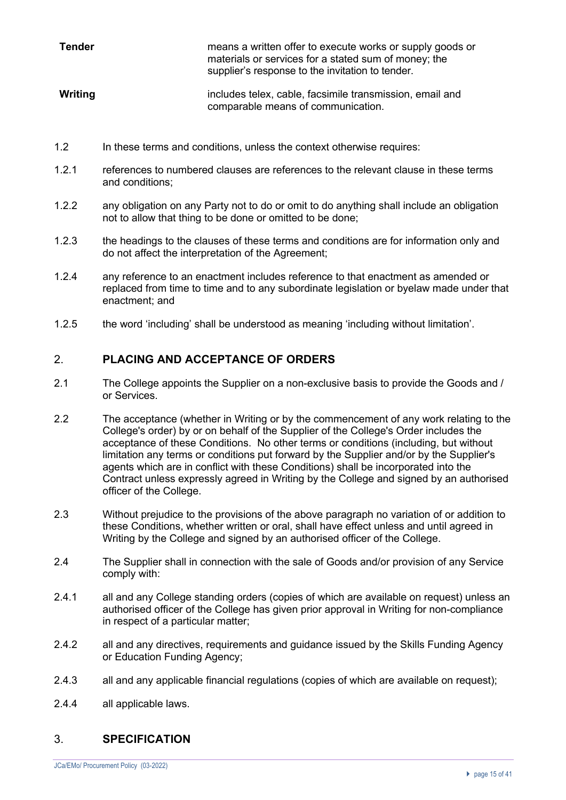| Tender  | means a written offer to execute works or supply goods or<br>materials or services for a stated sum of money; the<br>supplier's response to the invitation to tender. |
|---------|-----------------------------------------------------------------------------------------------------------------------------------------------------------------------|
| Writing | includes telex, cable, facsimile transmission, email and<br>comparable means of communication.                                                                        |

- 1.2 In these terms and conditions, unless the context otherwise requires:
- 1.2.1 references to numbered clauses are references to the relevant clause in these terms and conditions;
- 1.2.2 any obligation on any Party not to do or omit to do anything shall include an obligation not to allow that thing to be done or omitted to be done;
- 1.2.3 the headings to the clauses of these terms and conditions are for information only and do not affect the interpretation of the Agreement;
- 1.2.4 any reference to an enactment includes reference to that enactment as amended or replaced from time to time and to any subordinate legislation or byelaw made under that enactment; and
- 1.2.5 the word 'including' shall be understood as meaning 'including without limitation'.

# 2. **PLACING AND ACCEPTANCE OF ORDERS**

- 2.1 The College appoints the Supplier on a non-exclusive basis to provide the Goods and / or Services.
- 2.2 The acceptance (whether in Writing or by the commencement of any work relating to the College's order) by or on behalf of the Supplier of the College's Order includes the acceptance of these Conditions. No other terms or conditions (including, but without limitation any terms or conditions put forward by the Supplier and/or by the Supplier's agents which are in conflict with these Conditions) shall be incorporated into the Contract unless expressly agreed in Writing by the College and signed by an authorised officer of the College.
- 2.3 Without prejudice to the provisions of the above paragraph no variation of or addition to these Conditions, whether written or oral, shall have effect unless and until agreed in Writing by the College and signed by an authorised officer of the College.
- 2.4 The Supplier shall in connection with the sale of Goods and/or provision of any Service comply with:
- 2.4.1 all and any College standing orders (copies of which are available on request) unless an authorised officer of the College has given prior approval in Writing for non-compliance in respect of a particular matter;
- 2.4.2 all and any directives, requirements and guidance issued by the Skills Funding Agency or Education Funding Agency;
- 2.4.3 all and any applicable financial regulations (copies of which are available on request);
- 2.4.4 all applicable laws.

# 3. **SPECIFICATION**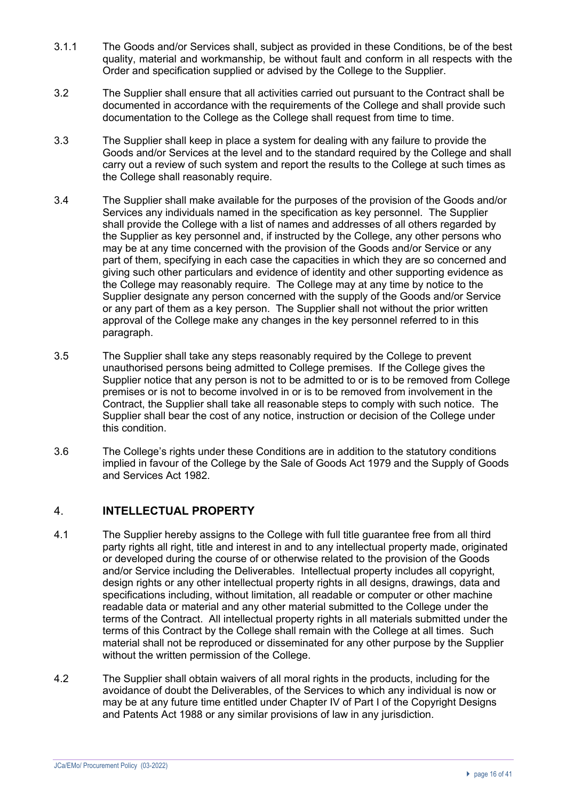- 3.1.1 The Goods and/or Services shall, subject as provided in these Conditions, be of the best quality, material and workmanship, be without fault and conform in all respects with the Order and specification supplied or advised by the College to the Supplier.
- 3.2 The Supplier shall ensure that all activities carried out pursuant to the Contract shall be documented in accordance with the requirements of the College and shall provide such documentation to the College as the College shall request from time to time.
- 3.3 The Supplier shall keep in place a system for dealing with any failure to provide the Goods and/or Services at the level and to the standard required by the College and shall carry out a review of such system and report the results to the College at such times as the College shall reasonably require.
- 3.4 The Supplier shall make available for the purposes of the provision of the Goods and/or Services any individuals named in the specification as key personnel. The Supplier shall provide the College with a list of names and addresses of all others regarded by the Supplier as key personnel and, if instructed by the College, any other persons who may be at any time concerned with the provision of the Goods and/or Service or any part of them, specifying in each case the capacities in which they are so concerned and giving such other particulars and evidence of identity and other supporting evidence as the College may reasonably require. The College may at any time by notice to the Supplier designate any person concerned with the supply of the Goods and/or Service or any part of them as a key person. The Supplier shall not without the prior written approval of the College make any changes in the key personnel referred to in this paragraph.
- 3.5 The Supplier shall take any steps reasonably required by the College to prevent unauthorised persons being admitted to College premises. If the College gives the Supplier notice that any person is not to be admitted to or is to be removed from College premises or is not to become involved in or is to be removed from involvement in the Contract, the Supplier shall take all reasonable steps to comply with such notice. The Supplier shall bear the cost of any notice, instruction or decision of the College under this condition.
- 3.6 The College's rights under these Conditions are in addition to the statutory conditions implied in favour of the College by the Sale of Goods Act 1979 and the Supply of Goods and Services Act 1982.

# 4. **INTELLECTUAL PROPERTY**

- 4.1 The Supplier hereby assigns to the College with full title guarantee free from all third party rights all right, title and interest in and to any intellectual property made, originated or developed during the course of or otherwise related to the provision of the Goods and/or Service including the Deliverables. Intellectual property includes all copyright, design rights or any other intellectual property rights in all designs, drawings, data and specifications including, without limitation, all readable or computer or other machine readable data or material and any other material submitted to the College under the terms of the Contract. All intellectual property rights in all materials submitted under the terms of this Contract by the College shall remain with the College at all times. Such material shall not be reproduced or disseminated for any other purpose by the Supplier without the written permission of the College.
- 4.2 The Supplier shall obtain waivers of all moral rights in the products, including for the avoidance of doubt the Deliverables, of the Services to which any individual is now or may be at any future time entitled under Chapter IV of Part I of the Copyright Designs and Patents Act 1988 or any similar provisions of law in any jurisdiction.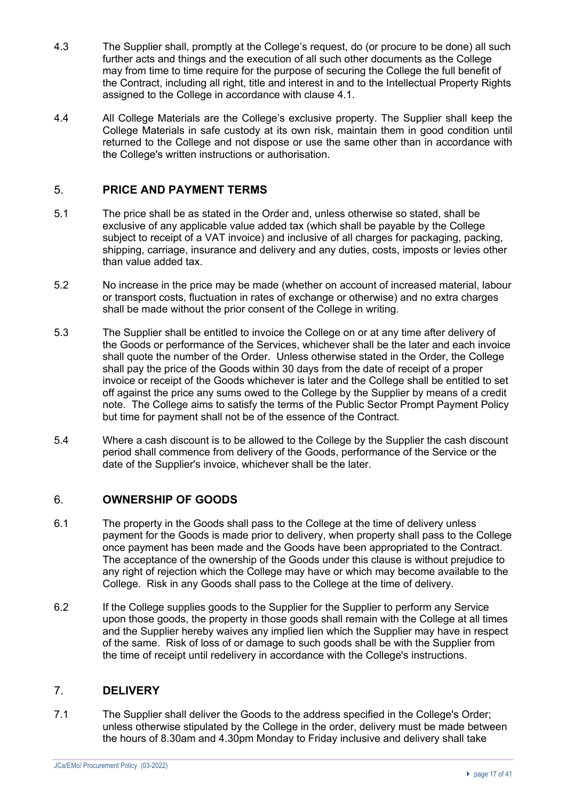- 4.3 The Supplier shall, promptly at the College's request, do (or procure to be done) all such further acts and things and the execution of all such other documents as the College may from time to time require for the purpose of securing the College the full benefit of the Contract, including all right, title and interest in and to the Intellectual Property Rights assigned to the College in accordance with clause 4.1.
- 4.4 All College Materials are the College's exclusive property. The Supplier shall keep the College Materials in safe custody at its own risk, maintain them in good condition until returned to the College and not dispose or use the same other than in accordance with the College's written instructions or authorisation.

# 5. **PRICE AND PAYMENT TERMS**

- 5.1 The price shall be as stated in the Order and, unless otherwise so stated, shall be exclusive of any applicable value added tax (which shall be payable by the College subject to receipt of a VAT invoice) and inclusive of all charges for packaging, packing, shipping, carriage, insurance and delivery and any duties, costs, imposts or levies other than value added tax.
- 5.2 No increase in the price may be made (whether on account of increased material, labour or transport costs, fluctuation in rates of exchange or otherwise) and no extra charges shall be made without the prior consent of the College in writing.
- 5.3 The Supplier shall be entitled to invoice the College on or at any time after delivery of the Goods or performance of the Services, whichever shall be the later and each invoice shall quote the number of the Order. Unless otherwise stated in the Order, the College shall pay the price of the Goods within 30 days from the date of receipt of a proper invoice or receipt of the Goods whichever is later and the College shall be entitled to set off against the price any sums owed to the College by the Supplier by means of a credit note. The College aims to satisfy the terms of the Public Sector Prompt Payment Policy but time for payment shall not be of the essence of the Contract.
- 5.4 Where a cash discount is to be allowed to the College by the Supplier the cash discount period shall commence from delivery of the Goods, performance of the Service or the date of the Supplier's invoice, whichever shall be the later.

# 6. **OWNERSHIP OF GOODS**

- 6.1 The property in the Goods shall pass to the College at the time of delivery unless payment for the Goods is made prior to delivery, when property shall pass to the College once payment has been made and the Goods have been appropriated to the Contract. The acceptance of the ownership of the Goods under this clause is without prejudice to any right of rejection which the College may have or which may become available to the College. Risk in any Goods shall pass to the College at the time of delivery.
- 6.2 If the College supplies goods to the Supplier for the Supplier to perform any Service upon those goods, the property in those goods shall remain with the College at all times and the Supplier hereby waives any implied lien which the Supplier may have in respect of the same. Risk of loss of or damage to such goods shall be with the Supplier from the time of receipt until redelivery in accordance with the College's instructions.

# 7. **DELIVERY**

7.1 The Supplier shall deliver the Goods to the address specified in the College's Order; unless otherwise stipulated by the College in the order, delivery must be made between the hours of 8.30am and 4.30pm Monday to Friday inclusive and delivery shall take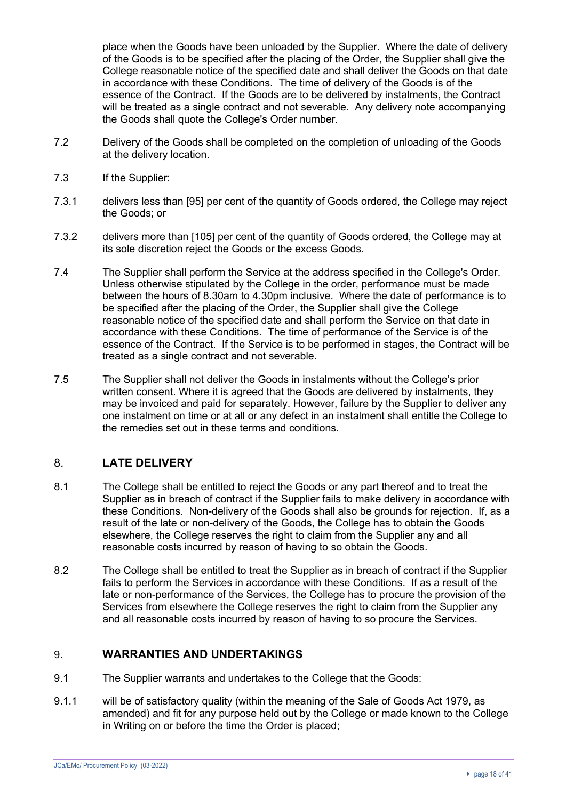place when the Goods have been unloaded by the Supplier. Where the date of delivery of the Goods is to be specified after the placing of the Order, the Supplier shall give the College reasonable notice of the specified date and shall deliver the Goods on that date in accordance with these Conditions. The time of delivery of the Goods is of the essence of the Contract. If the Goods are to be delivered by instalments, the Contract will be treated as a single contract and not severable. Any delivery note accompanying the Goods shall quote the College's Order number.

- 7.2 Delivery of the Goods shall be completed on the completion of unloading of the Goods at the delivery location.
- 7.3 If the Supplier:
- 7.3.1 delivers less than [95] per cent of the quantity of Goods ordered, the College may reject the Goods; or
- 7.3.2 delivers more than [105] per cent of the quantity of Goods ordered, the College may at its sole discretion reject the Goods or the excess Goods.
- 7.4 The Supplier shall perform the Service at the address specified in the College's Order. Unless otherwise stipulated by the College in the order, performance must be made between the hours of 8.30am to 4.30pm inclusive. Where the date of performance is to be specified after the placing of the Order, the Supplier shall give the College reasonable notice of the specified date and shall perform the Service on that date in accordance with these Conditions. The time of performance of the Service is of the essence of the Contract. If the Service is to be performed in stages, the Contract will be treated as a single contract and not severable.
- 7.5 The Supplier shall not deliver the Goods in instalments without the College's prior written consent. Where it is agreed that the Goods are delivered by instalments, they may be invoiced and paid for separately. However, failure by the Supplier to deliver any one instalment on time or at all or any defect in an instalment shall entitle the College to the remedies set out in these terms and conditions.

# 8. **LATE DELIVERY**

- 8.1 The College shall be entitled to reject the Goods or any part thereof and to treat the Supplier as in breach of contract if the Supplier fails to make delivery in accordance with these Conditions. Non-delivery of the Goods shall also be grounds for rejection. If, as a result of the late or non-delivery of the Goods, the College has to obtain the Goods elsewhere, the College reserves the right to claim from the Supplier any and all reasonable costs incurred by reason of having to so obtain the Goods.
- 8.2 The College shall be entitled to treat the Supplier as in breach of contract if the Supplier fails to perform the Services in accordance with these Conditions. If as a result of the late or non-performance of the Services, the College has to procure the provision of the Services from elsewhere the College reserves the right to claim from the Supplier any and all reasonable costs incurred by reason of having to so procure the Services.

# 9. **WARRANTIES AND UNDERTAKINGS**

- 9.1 The Supplier warrants and undertakes to the College that the Goods:
- 9.1.1 will be of satisfactory quality (within the meaning of the Sale of Goods Act 1979, as amended) and fit for any purpose held out by the College or made known to the College in Writing on or before the time the Order is placed;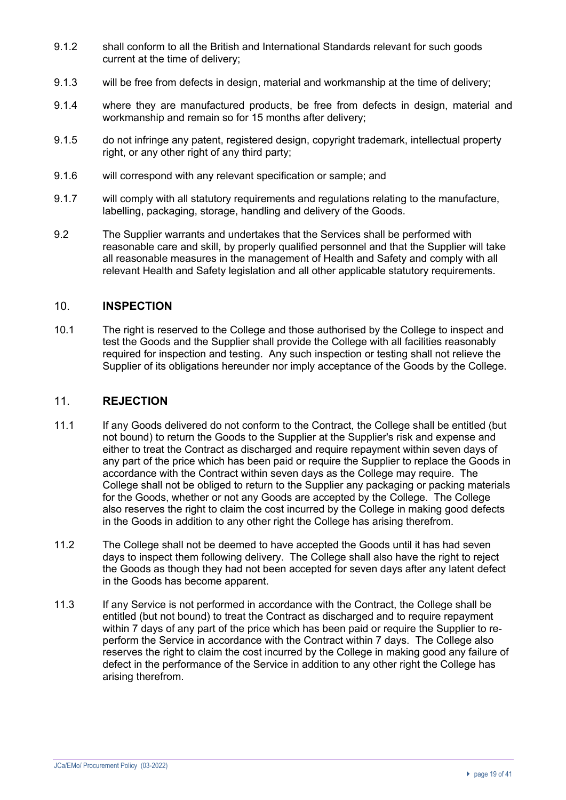- 9.1.2 shall conform to all the British and International Standards relevant for such goods current at the time of delivery;
- 9.1.3 will be free from defects in design, material and workmanship at the time of delivery;
- 9.1.4 where they are manufactured products, be free from defects in design, material and workmanship and remain so for 15 months after delivery;
- 9.1.5 do not infringe any patent, registered design, copyright trademark, intellectual property right, or any other right of any third party;
- 9.1.6 will correspond with any relevant specification or sample; and
- 9.1.7 will comply with all statutory requirements and regulations relating to the manufacture, labelling, packaging, storage, handling and delivery of the Goods.
- 9.2 The Supplier warrants and undertakes that the Services shall be performed with reasonable care and skill, by properly qualified personnel and that the Supplier will take all reasonable measures in the management of Health and Safety and comply with all relevant Health and Safety legislation and all other applicable statutory requirements.

### 10. **INSPECTION**

10.1 The right is reserved to the College and those authorised by the College to inspect and test the Goods and the Supplier shall provide the College with all facilities reasonably required for inspection and testing. Any such inspection or testing shall not relieve the Supplier of its obligations hereunder nor imply acceptance of the Goods by the College.

## 11. **REJECTION**

- 11.1 If any Goods delivered do not conform to the Contract, the College shall be entitled (but not bound) to return the Goods to the Supplier at the Supplier's risk and expense and either to treat the Contract as discharged and require repayment within seven days of any part of the price which has been paid or require the Supplier to replace the Goods in accordance with the Contract within seven days as the College may require. The College shall not be obliged to return to the Supplier any packaging or packing materials for the Goods, whether or not any Goods are accepted by the College. The College also reserves the right to claim the cost incurred by the College in making good defects in the Goods in addition to any other right the College has arising therefrom.
- 11.2 The College shall not be deemed to have accepted the Goods until it has had seven days to inspect them following delivery. The College shall also have the right to reject the Goods as though they had not been accepted for seven days after any latent defect in the Goods has become apparent.
- 11.3 If any Service is not performed in accordance with the Contract, the College shall be entitled (but not bound) to treat the Contract as discharged and to require repayment within 7 days of any part of the price which has been paid or require the Supplier to reperform the Service in accordance with the Contract within 7 days. The College also reserves the right to claim the cost incurred by the College in making good any failure of defect in the performance of the Service in addition to any other right the College has arising therefrom.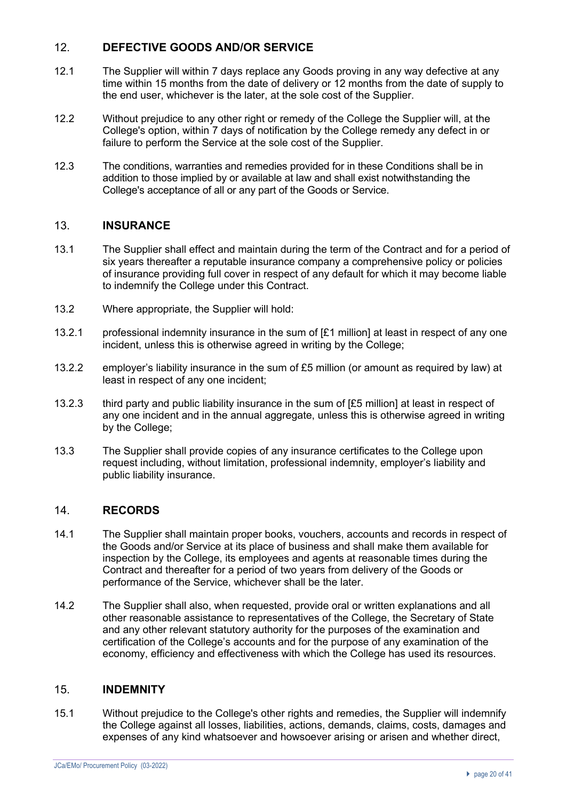# 12. **DEFECTIVE GOODS AND/OR SERVICE**

- 12.1 The Supplier will within 7 days replace any Goods proving in any way defective at any time within 15 months from the date of delivery or 12 months from the date of supply to the end user, whichever is the later, at the sole cost of the Supplier.
- 12.2 Without prejudice to any other right or remedy of the College the Supplier will, at the College's option, within 7 days of notification by the College remedy any defect in or failure to perform the Service at the sole cost of the Supplier.
- 12.3 The conditions, warranties and remedies provided for in these Conditions shall be in addition to those implied by or available at law and shall exist notwithstanding the College's acceptance of all or any part of the Goods or Service.

# 13. **INSURANCE**

- 13.1 The Supplier shall effect and maintain during the term of the Contract and for a period of six years thereafter a reputable insurance company a comprehensive policy or policies of insurance providing full cover in respect of any default for which it may become liable to indemnify the College under this Contract.
- 13.2 Where appropriate, the Supplier will hold:
- 13.2.1 professional indemnity insurance in the sum of [£1 million] at least in respect of any one incident, unless this is otherwise agreed in writing by the College;
- 13.2.2 employer's liability insurance in the sum of £5 million (or amount as required by law) at least in respect of any one incident;
- 13.2.3 third party and public liability insurance in the sum of [£5 million] at least in respect of any one incident and in the annual aggregate, unless this is otherwise agreed in writing by the College;
- 13.3 The Supplier shall provide copies of any insurance certificates to the College upon request including, without limitation, professional indemnity, employer's liability and public liability insurance.

# 14. **RECORDS**

- 14.1 The Supplier shall maintain proper books, vouchers, accounts and records in respect of the Goods and/or Service at its place of business and shall make them available for inspection by the College, its employees and agents at reasonable times during the Contract and thereafter for a period of two years from delivery of the Goods or performance of the Service, whichever shall be the later.
- 14.2 The Supplier shall also, when requested, provide oral or written explanations and all other reasonable assistance to representatives of the College, the Secretary of State and any other relevant statutory authority for the purposes of the examination and certification of the College's accounts and for the purpose of any examination of the economy, efficiency and effectiveness with which the College has used its resources.

# 15. **INDEMNITY**

15.1 Without prejudice to the College's other rights and remedies, the Supplier will indemnify the College against all losses, liabilities, actions, demands, claims, costs, damages and expenses of any kind whatsoever and howsoever arising or arisen and whether direct,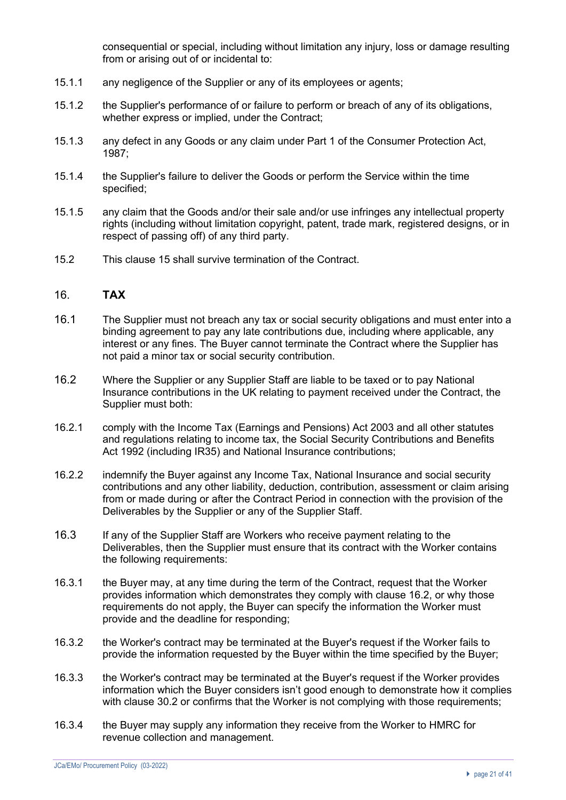consequential or special, including without limitation any injury, loss or damage resulting from or arising out of or incidental to:

- 15.1.1 any negligence of the Supplier or any of its employees or agents;
- 15.1.2 the Supplier's performance of or failure to perform or breach of any of its obligations, whether express or implied, under the Contract;
- 15.1.3 any defect in any Goods or any claim under Part 1 of the Consumer Protection Act, 1987;
- 15.1.4 the Supplier's failure to deliver the Goods or perform the Service within the time specified;
- 15.1.5 any claim that the Goods and/or their sale and/or use infringes any intellectual property rights (including without limitation copyright, patent, trade mark, registered designs, or in respect of passing off) of any third party.
- 15.2 This clause 15 shall survive termination of the Contract.

### 16. **TAX**

- 16.1 The Supplier must not breach any tax or social security obligations and must enter into a binding agreement to pay any late contributions due, including where applicable, any interest or any fines. The Buyer cannot terminate the Contract where the Supplier has not paid a minor tax or social security contribution.
- 16.2 Where the Supplier or any Supplier Staff are liable to be taxed or to pay National Insurance contributions in the UK relating to payment received under the Contract, the Supplier must both:
- 16.2.1 comply with the Income Tax (Earnings and Pensions) Act 2003 and all other statutes and regulations relating to income tax, the Social Security Contributions and Benefits Act 1992 (including IR35) and National Insurance contributions;
- 16.2.2 indemnify the Buyer against any Income Tax, National Insurance and social security contributions and any other liability, deduction, contribution, assessment or claim arising from or made during or after the Contract Period in connection with the provision of the Deliverables by the Supplier or any of the Supplier Staff.
- 16.3 If any of the Supplier Staff are Workers who receive payment relating to the Deliverables, then the Supplier must ensure that its contract with the Worker contains the following requirements:
- 16.3.1 the Buyer may, at any time during the term of the Contract, request that the Worker provides information which demonstrates they comply with clause 16.2, or why those requirements do not apply, the Buyer can specify the information the Worker must provide and the deadline for responding;
- 16.3.2 the Worker's contract may be terminated at the Buyer's request if the Worker fails to provide the information requested by the Buyer within the time specified by the Buyer;
- 16.3.3 the Worker's contract may be terminated at the Buyer's request if the Worker provides information which the Buyer considers isn't good enough to demonstrate how it complies with clause 30.2 or confirms that the Worker is not complying with those requirements;
- 16.3.4 the Buyer may supply any information they receive from the Worker to HMRC for revenue collection and management.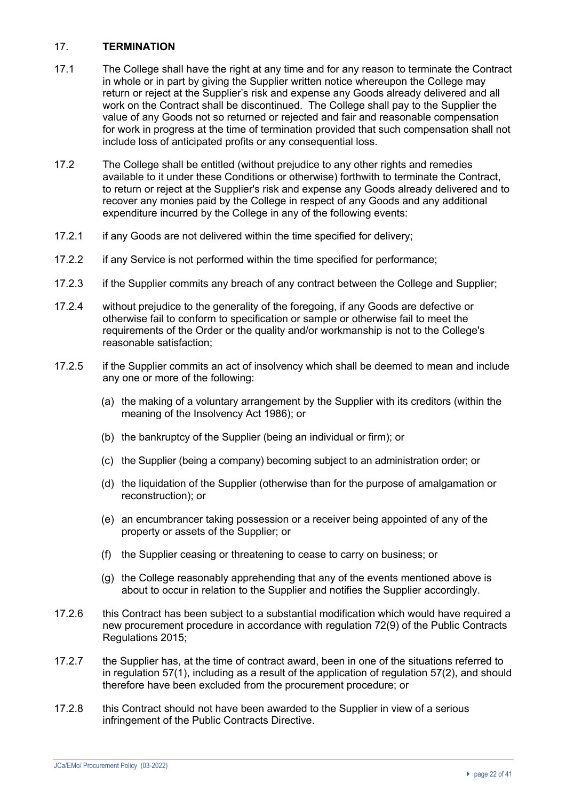## 17. **TERMINATION**

- 17.1 The College shall have the right at any time and for any reason to terminate the Contract in whole or in part by giving the Supplier written notice whereupon the College may return or reject at the Supplier's risk and expense any Goods already delivered and all work on the Contract shall be discontinued. The College shall pay to the Supplier the value of any Goods not so returned or rejected and fair and reasonable compensation for work in progress at the time of termination provided that such compensation shall not include loss of anticipated profits or any consequential loss.
- 17.2 The College shall be entitled (without prejudice to any other rights and remedies available to it under these Conditions or otherwise) forthwith to terminate the Contract, to return or reject at the Supplier's risk and expense any Goods already delivered and to recover any monies paid by the College in respect of any Goods and any additional expenditure incurred by the College in any of the following events:
- 17.2.1 if any Goods are not delivered within the time specified for delivery;
- 17.2.2 if any Service is not performed within the time specified for performance;
- 17.2.3 if the Supplier commits any breach of any contract between the College and Supplier;
- 17.2.4 without prejudice to the generality of the foregoing, if any Goods are defective or otherwise fail to conform to specification or sample or otherwise fail to meet the requirements of the Order or the quality and/or workmanship is not to the College's reasonable satisfaction;
- 17.2.5 if the Supplier commits an act of insolvency which shall be deemed to mean and include any one or more of the following:
	- (a) the making of a voluntary arrangement by the Supplier with its creditors (within the meaning of the Insolvency Act 1986); or
	- (b) the bankruptcy of the Supplier (being an individual or firm); or
	- (c) the Supplier (being a company) becoming subject to an administration order; or
	- (d) the liquidation of the Supplier (otherwise than for the purpose of amalgamation or reconstruction); or
	- (e) an encumbrancer taking possession or a receiver being appointed of any of the property or assets of the Supplier; or
	- (f) the Supplier ceasing or threatening to cease to carry on business; or
	- (g) the College reasonably apprehending that any of the events mentioned above is about to occur in relation to the Supplier and notifies the Supplier accordingly.
- 17.2.6 this Contract has been subject to a substantial modification which would have required a new procurement procedure in accordance with regulation 72(9) of the Public Contracts Regulations 2015;
- 17.2.7 the Supplier has, at the time of contract award, been in one of the situations referred to in regulation 57(1), including as a result of the application of regulation 57(2), and should therefore have been excluded from the procurement procedure; or
- 17.2.8 this Contract should not have been awarded to the Supplier in view of a serious infringement of the Public Contracts Directive.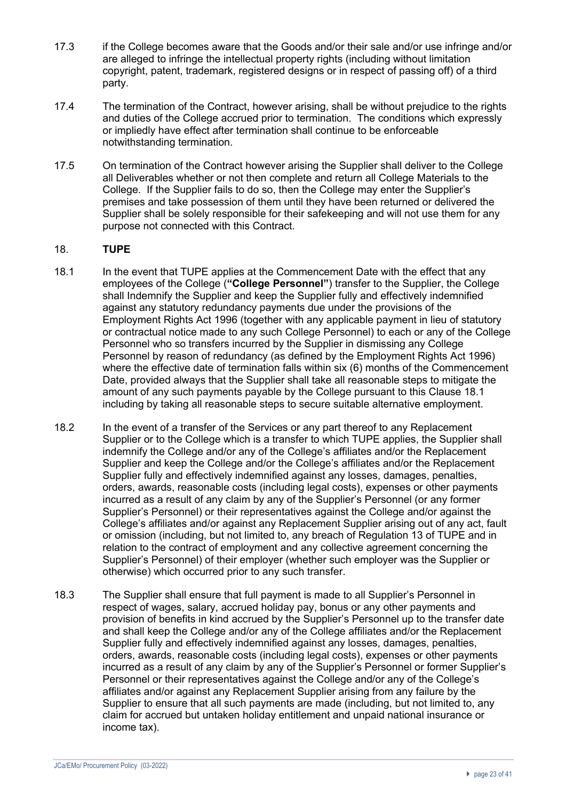- 17.3 if the College becomes aware that the Goods and/or their sale and/or use infringe and/or are alleged to infringe the intellectual property rights (including without limitation copyright, patent, trademark, registered designs or in respect of passing off) of a third party.
- 17.4 The termination of the Contract, however arising, shall be without prejudice to the rights and duties of the College accrued prior to termination. The conditions which expressly or impliedly have effect after termination shall continue to be enforceable notwithstanding termination.
- 17.5 On termination of the Contract however arising the Supplier shall deliver to the College all Deliverables whether or not then complete and return all College Materials to the College. If the Supplier fails to do so, then the College may enter the Supplier's premises and take possession of them until they have been returned or delivered the Supplier shall be solely responsible for their safekeeping and will not use them for any purpose not connected with this Contract.

## 18. **TUPE**

- 18.1 In the event that TUPE applies at the Commencement Date with the effect that any employees of the College (**"College Personnel"**) transfer to the Supplier, the College shall Indemnify the Supplier and keep the Supplier fully and effectively indemnified against any statutory redundancy payments due under the provisions of the Employment Rights Act 1996 (together with any applicable payment in lieu of statutory or contractual notice made to any such College Personnel) to each or any of the College Personnel who so transfers incurred by the Supplier in dismissing any College Personnel by reason of redundancy (as defined by the Employment Rights Act 1996) where the effective date of termination falls within six (6) months of the Commencement Date, provided always that the Supplier shall take all reasonable steps to mitigate the amount of any such payments payable by the College pursuant to this Clause 18.1 including by taking all reasonable steps to secure suitable alternative employment.
- 18.2 In the event of a transfer of the Services or any part thereof to any Replacement Supplier or to the College which is a transfer to which TUPE applies, the Supplier shall indemnify the College and/or any of the College's affiliates and/or the Replacement Supplier and keep the College and/or the College's affiliates and/or the Replacement Supplier fully and effectively indemnified against any losses, damages, penalties, orders, awards, reasonable costs (including legal costs), expenses or other payments incurred as a result of any claim by any of the Supplier's Personnel (or any former Supplier's Personnel) or their representatives against the College and/or against the College's affiliates and/or against any Replacement Supplier arising out of any act, fault or omission (including, but not limited to, any breach of Regulation 13 of TUPE and in relation to the contract of employment and any collective agreement concerning the Supplier's Personnel) of their employer (whether such employer was the Supplier or otherwise) which occurred prior to any such transfer.
- 18.3 The Supplier shall ensure that full payment is made to all Supplier's Personnel in respect of wages, salary, accrued holiday pay, bonus or any other payments and provision of benefits in kind accrued by the Supplier's Personnel up to the transfer date and shall keep the College and/or any of the College affiliates and/or the Replacement Supplier fully and effectively indemnified against any losses, damages, penalties, orders, awards, reasonable costs (including legal costs), expenses or other payments incurred as a result of any claim by any of the Supplier's Personnel or former Supplier's Personnel or their representatives against the College and/or any of the College's affiliates and/or against any Replacement Supplier arising from any failure by the Supplier to ensure that all such payments are made (including, but not limited to, any claim for accrued but untaken holiday entitlement and unpaid national insurance or income tax).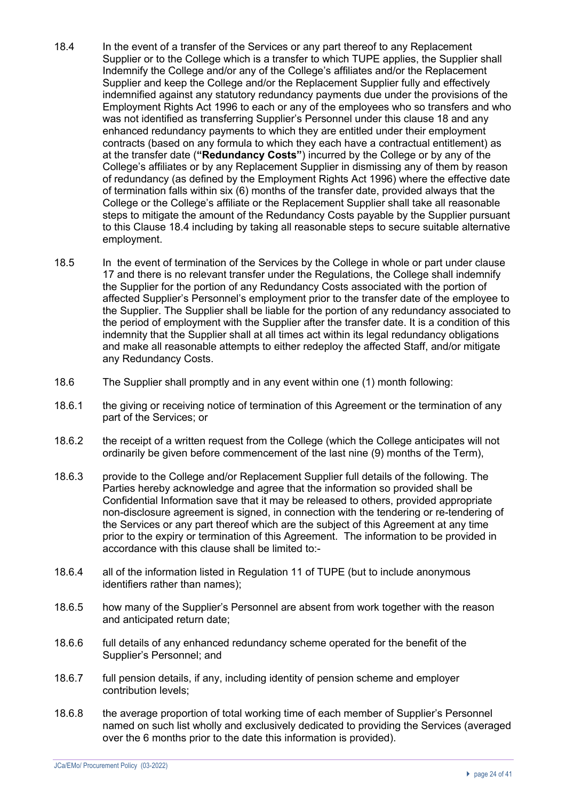- 18.4 In the event of a transfer of the Services or any part thereof to any Replacement Supplier or to the College which is a transfer to which TUPE applies, the Supplier shall Indemnify the College and/or any of the College's affiliates and/or the Replacement Supplier and keep the College and/or the Replacement Supplier fully and effectively indemnified against any statutory redundancy payments due under the provisions of the Employment Rights Act 1996 to each or any of the employees who so transfers and who was not identified as transferring Supplier's Personnel under this clause 18 and any enhanced redundancy payments to which they are entitled under their employment contracts (based on any formula to which they each have a contractual entitlement) as at the transfer date (**"Redundancy Costs"**) incurred by the College or by any of the College's affiliates or by any Replacement Supplier in dismissing any of them by reason of redundancy (as defined by the Employment Rights Act 1996) where the effective date of termination falls within six (6) months of the transfer date, provided always that the College or the College's affiliate or the Replacement Supplier shall take all reasonable steps to mitigate the amount of the Redundancy Costs payable by the Supplier pursuant to this Clause 18.4 including by taking all reasonable steps to secure suitable alternative employment.
- 18.5 In the event of termination of the Services by the College in whole or part under clause 17 and there is no relevant transfer under the Regulations, the College shall indemnify the Supplier for the portion of any Redundancy Costs associated with the portion of affected Supplier's Personnel's employment prior to the transfer date of the employee to the Supplier. The Supplier shall be liable for the portion of any redundancy associated to the period of employment with the Supplier after the transfer date. It is a condition of this indemnity that the Supplier shall at all times act within its legal redundancy obligations and make all reasonable attempts to either redeploy the affected Staff, and/or mitigate any Redundancy Costs.
- 18.6 The Supplier shall promptly and in any event within one (1) month following:
- 18.6.1 the giving or receiving notice of termination of this Agreement or the termination of any part of the Services; or
- 18.6.2 the receipt of a written request from the College (which the College anticipates will not ordinarily be given before commencement of the last nine (9) months of the Term),
- 18.6.3 provide to the College and/or Replacement Supplier full details of the following. The Parties hereby acknowledge and agree that the information so provided shall be Confidential Information save that it may be released to others, provided appropriate non-disclosure agreement is signed, in connection with the tendering or re-tendering of the Services or any part thereof which are the subject of this Agreement at any time prior to the expiry or termination of this Agreement. The information to be provided in accordance with this clause shall be limited to:-
- 18.6.4 all of the information listed in Regulation 11 of TUPE (but to include anonymous identifiers rather than names);
- 18.6.5 how many of the Supplier's Personnel are absent from work together with the reason and anticipated return date;
- 18.6.6 full details of any enhanced redundancy scheme operated for the benefit of the Supplier's Personnel; and
- 18.6.7 full pension details, if any, including identity of pension scheme and employer contribution levels;
- 18.6.8 the average proportion of total working time of each member of Supplier's Personnel named on such list wholly and exclusively dedicated to providing the Services (averaged over the 6 months prior to the date this information is provided).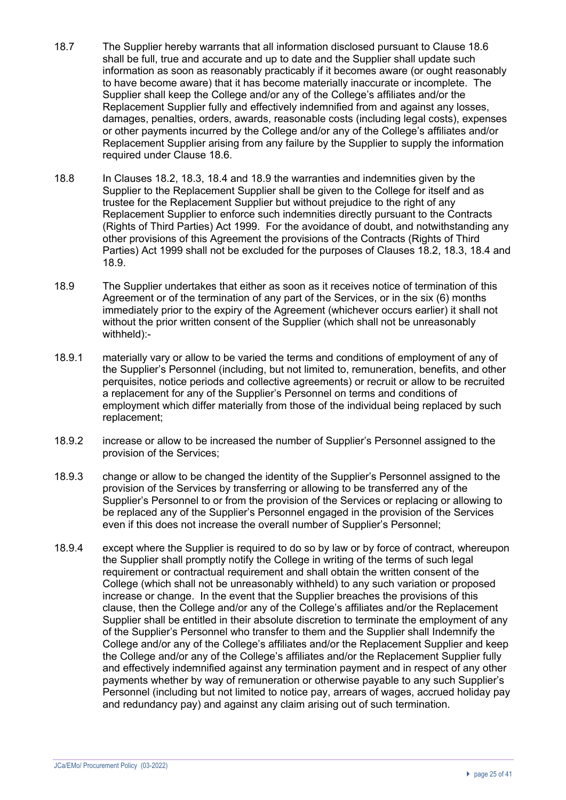- 18.7 The Supplier hereby warrants that all information disclosed pursuant to Clause 18.6 shall be full, true and accurate and up to date and the Supplier shall update such information as soon as reasonably practicably if it becomes aware (or ought reasonably to have become aware) that it has become materially inaccurate or incomplete. The Supplier shall keep the College and/or any of the College's affiliates and/or the Replacement Supplier fully and effectively indemnified from and against any losses, damages, penalties, orders, awards, reasonable costs (including legal costs), expenses or other payments incurred by the College and/or any of the College's affiliates and/or Replacement Supplier arising from any failure by the Supplier to supply the information required under Clause 18.6.
- 18.8 In Clauses 18.2, 18.3, 18.4 and 18.9 the warranties and indemnities given by the Supplier to the Replacement Supplier shall be given to the College for itself and as trustee for the Replacement Supplier but without prejudice to the right of any Replacement Supplier to enforce such indemnities directly pursuant to the Contracts (Rights of Third Parties) Act 1999. For the avoidance of doubt, and notwithstanding any other provisions of this Agreement the provisions of the Contracts (Rights of Third Parties) Act 1999 shall not be excluded for the purposes of Clauses 18.2, 18.3, 18.4 and 18.9.
- 18.9 The Supplier undertakes that either as soon as it receives notice of termination of this Agreement or of the termination of any part of the Services, or in the six (6) months immediately prior to the expiry of the Agreement (whichever occurs earlier) it shall not without the prior written consent of the Supplier (which shall not be unreasonably withheld):-
- 18.9.1 materially vary or allow to be varied the terms and conditions of employment of any of the Supplier's Personnel (including, but not limited to, remuneration, benefits, and other perquisites, notice periods and collective agreements) or recruit or allow to be recruited a replacement for any of the Supplier's Personnel on terms and conditions of employment which differ materially from those of the individual being replaced by such replacement;
- 18.9.2 increase or allow to be increased the number of Supplier's Personnel assigned to the provision of the Services;
- 18.9.3 change or allow to be changed the identity of the Supplier's Personnel assigned to the provision of the Services by transferring or allowing to be transferred any of the Supplier's Personnel to or from the provision of the Services or replacing or allowing to be replaced any of the Supplier's Personnel engaged in the provision of the Services even if this does not increase the overall number of Supplier's Personnel;
- 18.9.4 except where the Supplier is required to do so by law or by force of contract, whereupon the Supplier shall promptly notify the College in writing of the terms of such legal requirement or contractual requirement and shall obtain the written consent of the College (which shall not be unreasonably withheld) to any such variation or proposed increase or change. In the event that the Supplier breaches the provisions of this clause, then the College and/or any of the College's affiliates and/or the Replacement Supplier shall be entitled in their absolute discretion to terminate the employment of any of the Supplier's Personnel who transfer to them and the Supplier shall Indemnify the College and/or any of the College's affiliates and/or the Replacement Supplier and keep the College and/or any of the College's affiliates and/or the Replacement Supplier fully and effectively indemnified against any termination payment and in respect of any other payments whether by way of remuneration or otherwise payable to any such Supplier's Personnel (including but not limited to notice pay, arrears of wages, accrued holiday pay and redundancy pay) and against any claim arising out of such termination.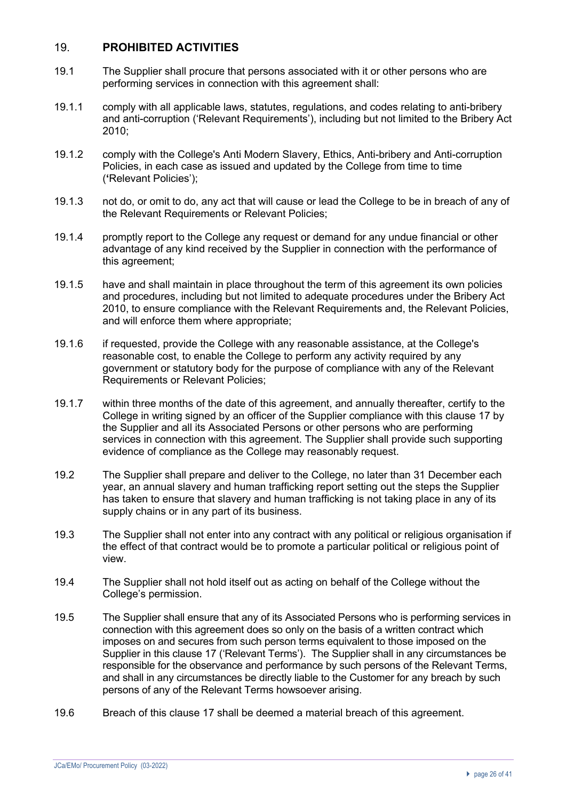## 19. **PROHIBITED ACTIVITIES**

- 19.1 The Supplier shall procure that persons associated with it or other persons who are performing services in connection with this agreement shall:
- 19.1.1 comply with all applicable laws, statutes, regulations, and codes relating to anti-bribery and anti-corruption ('Relevant Requirements'), including but not limited to the Bribery Act 2010;
- 19.1.2 comply with the College's Anti Modern Slavery, Ethics, Anti-bribery and Anti-corruption Policies, in each case as issued and updated by the College from time to time (**'**Relevant Policies');
- 19.1.3 not do, or omit to do, any act that will cause or lead the College to be in breach of any of the Relevant Requirements or Relevant Policies;
- 19.1.4 promptly report to the College any request or demand for any undue financial or other advantage of any kind received by the Supplier in connection with the performance of this agreement;
- 19.1.5 have and shall maintain in place throughout the term of this agreement its own policies and procedures, including but not limited to adequate procedures under the Bribery Act 2010, to ensure compliance with the Relevant Requirements and, the Relevant Policies, and will enforce them where appropriate;
- 19.1.6 if requested, provide the College with any reasonable assistance, at the College's reasonable cost, to enable the College to perform any activity required by any government or statutory body for the purpose of compliance with any of the Relevant Requirements or Relevant Policies;
- 19.1.7 within three months of the date of this agreement, and annually thereafter, certify to the College in writing signed by an officer of the Supplier compliance with this clause 17 by the Supplier and all its Associated Persons or other persons who are performing services in connection with this agreement. The Supplier shall provide such supporting evidence of compliance as the College may reasonably request.
- 19.2 The Supplier shall prepare and deliver to the College, no later than 31 December each year, an annual slavery and human trafficking report setting out the steps the Supplier has taken to ensure that slavery and human trafficking is not taking place in any of its supply chains or in any part of its business.
- 19.3 The Supplier shall not enter into any contract with any political or religious organisation if the effect of that contract would be to promote a particular political or religious point of view.
- 19.4 The Supplier shall not hold itself out as acting on behalf of the College without the College's permission.
- 19.5 The Supplier shall ensure that any of its Associated Persons who is performing services in connection with this agreement does so only on the basis of a written contract which imposes on and secures from such person terms equivalent to those imposed on the Supplier in this clause 17 ('Relevant Terms'). The Supplier shall in any circumstances be responsible for the observance and performance by such persons of the Relevant Terms, and shall in any circumstances be directly liable to the Customer for any breach by such persons of any of the Relevant Terms howsoever arising.
- 19.6 Breach of this clause 17 shall be deemed a material breach of this agreement.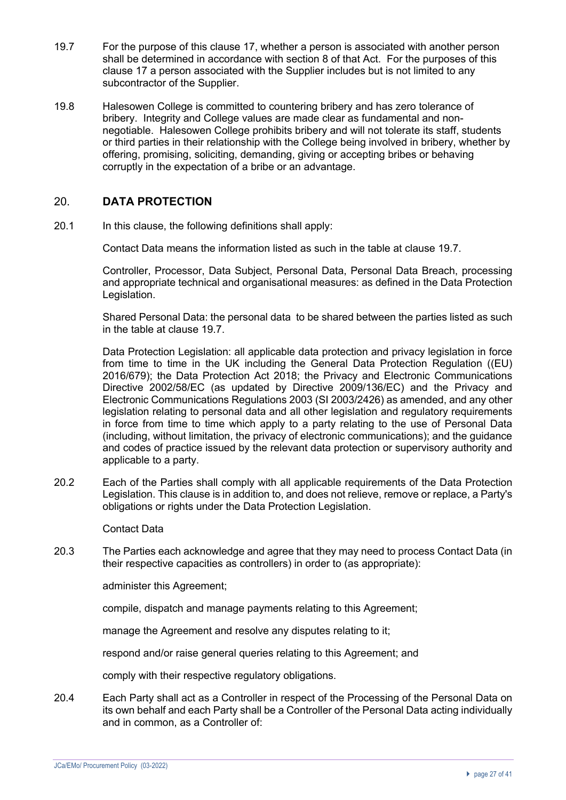- 19.7 For the purpose of this clause 17, whether a person is associated with another person shall be determined in accordance with section 8 of that Act. For the purposes of this clause 17 a person associated with the Supplier includes but is not limited to any subcontractor of the Supplier.
- 19.8 Halesowen College is committed to countering bribery and has zero tolerance of bribery. Integrity and College values are made clear as fundamental and nonnegotiable. Halesowen College prohibits bribery and will not tolerate its staff, students or third parties in their relationship with the College being involved in bribery, whether by offering, promising, soliciting, demanding, giving or accepting bribes or behaving corruptly in the expectation of a bribe or an advantage.

# 20. **DATA PROTECTION**

20.1 In this clause, the following definitions shall apply:

Contact Data means the information listed as such in the table at clause 19.7.

Controller, Processor, Data Subject, Personal Data, Personal Data Breach, processing and appropriate technical and organisational measures: as defined in the Data Protection Legislation.

Shared Personal Data: the personal data to be shared between the parties listed as such in the table at clause 19.7.

Data Protection Legislation: all applicable data protection and privacy legislation in force from time to time in the UK including the General Data Protection Regulation ((EU) 2016/679); the Data Protection Act 2018; the Privacy and Electronic Communications Directive 2002/58/EC (as updated by Directive 2009/136/EC) and the Privacy and Electronic Communications Regulations 2003 (SI 2003/2426) as amended, and any other legislation relating to personal data and all other legislation and regulatory requirements in force from time to time which apply to a party relating to the use of Personal Data (including, without limitation, the privacy of electronic communications); and the guidance and codes of practice issued by the relevant data protection or supervisory authority and applicable to a party.

20.2 Each of the Parties shall comply with all applicable requirements of the Data Protection Legislation. This clause is in addition to, and does not relieve, remove or replace, a Party's obligations or rights under the Data Protection Legislation.

Contact Data

20.3 The Parties each acknowledge and agree that they may need to process Contact Data (in their respective capacities as controllers) in order to (as appropriate):

administer this Agreement;

compile, dispatch and manage payments relating to this Agreement;

manage the Agreement and resolve any disputes relating to it;

respond and/or raise general queries relating to this Agreement; and

comply with their respective regulatory obligations.

20.4 Each Party shall act as a Controller in respect of the Processing of the Personal Data on its own behalf and each Party shall be a Controller of the Personal Data acting individually and in common, as a Controller of: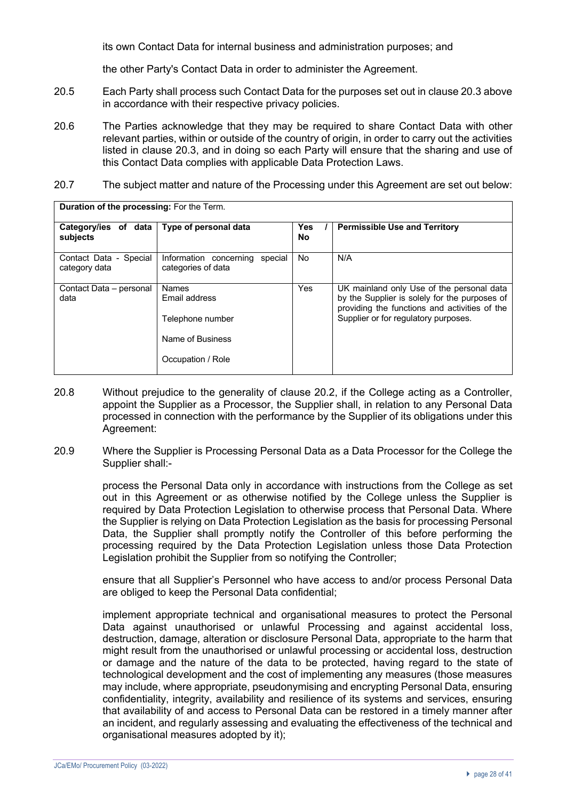its own Contact Data for internal business and administration purposes; and

the other Party's Contact Data in order to administer the Agreement.

- 20.5 Each Party shall process such Contact Data for the purposes set out in clause 20.3 above in accordance with their respective privacy policies.
- 20.6 The Parties acknowledge that they may be required to share Contact Data with other relevant parties, within or outside of the country of origin, in order to carry out the activities listed in clause 20.3, and in doing so each Party will ensure that the sharing and use of this Contact Data complies with applicable Data Protection Laws.
- 20.7 The subject matter and nature of the Processing under this Agreement are set out below:

| <b>DUIGHOIL OF GIG PLOCCSSING.</b> LOF GIG TOILIN |                                                         |                  |                                                                                                                                             |
|---------------------------------------------------|---------------------------------------------------------|------------------|---------------------------------------------------------------------------------------------------------------------------------------------|
| Category/ies of data<br>subjects                  | Type of personal data                                   | <b>Yes</b><br>No | <b>Permissible Use and Territory</b>                                                                                                        |
| Contact Data - Special<br>category data           | Information concerning<br>special<br>categories of data | <b>No</b>        | N/A                                                                                                                                         |
| Contact Data – personal<br>data                   | <b>Names</b><br>Email address                           | <b>Yes</b>       | UK mainland only Use of the personal data<br>by the Supplier is solely for the purposes of<br>providing the functions and activities of the |
|                                                   | Telephone number                                        |                  | Supplier or for regulatory purposes.                                                                                                        |
|                                                   | Name of Business<br>Occupation / Role                   |                  |                                                                                                                                             |
|                                                   |                                                         |                  |                                                                                                                                             |

- 20.8 Without prejudice to the generality of clause 20.2, if the College acting as a Controller, appoint the Supplier as a Processor, the Supplier shall, in relation to any Personal Data processed in connection with the performance by the Supplier of its obligations under this Agreement:
- 20.9 Where the Supplier is Processing Personal Data as a Data Processor for the College the Supplier shall:-

process the Personal Data only in accordance with instructions from the College as set out in this Agreement or as otherwise notified by the College unless the Supplier is required by Data Protection Legislation to otherwise process that Personal Data. Where the Supplier is relying on Data Protection Legislation as the basis for processing Personal Data, the Supplier shall promptly notify the Controller of this before performing the processing required by the Data Protection Legislation unless those Data Protection Legislation prohibit the Supplier from so notifying the Controller;

ensure that all Supplier's Personnel who have access to and/or process Personal Data are obliged to keep the Personal Data confidential;

implement appropriate technical and organisational measures to protect the Personal Data against unauthorised or unlawful Processing and against accidental loss, destruction, damage, alteration or disclosure Personal Data, appropriate to the harm that might result from the unauthorised or unlawful processing or accidental loss, destruction or damage and the nature of the data to be protected, having regard to the state of technological development and the cost of implementing any measures (those measures may include, where appropriate, pseudonymising and encrypting Personal Data, ensuring confidentiality, integrity, availability and resilience of its systems and services, ensuring that availability of and access to Personal Data can be restored in a timely manner after an incident, and regularly assessing and evaluating the effectiveness of the technical and organisational measures adopted by it);

**Duration of the processing:** For the Term.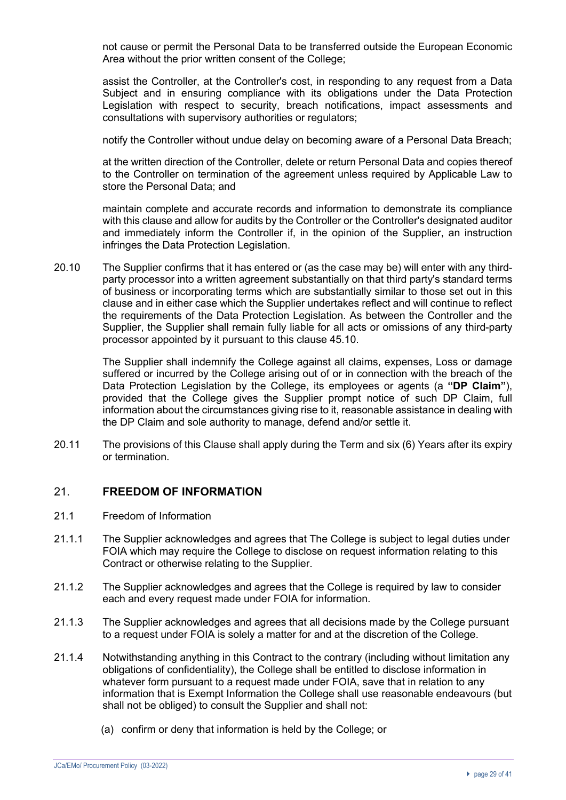not cause or permit the Personal Data to be transferred outside the European Economic Area without the prior written consent of the College;

assist the Controller, at the Controller's cost, in responding to any request from a Data Subject and in ensuring compliance with its obligations under the Data Protection Legislation with respect to security, breach notifications, impact assessments and consultations with supervisory authorities or regulators;

notify the Controller without undue delay on becoming aware of a Personal Data Breach;

at the written direction of the Controller, delete or return Personal Data and copies thereof to the Controller on termination of the agreement unless required by Applicable Law to store the Personal Data; and

maintain complete and accurate records and information to demonstrate its compliance with this clause and allow for audits by the Controller or the Controller's designated auditor and immediately inform the Controller if, in the opinion of the Supplier, an instruction infringes the Data Protection Legislation.

20.10 The Supplier confirms that it has entered or (as the case may be) will enter with any thirdparty processor into a written agreement substantially on that third party's standard terms of business or incorporating terms which are substantially similar to those set out in this clause and in either case which the Supplier undertakes reflect and will continue to reflect the requirements of the Data Protection Legislation. As between the Controller and the Supplier, the Supplier shall remain fully liable for all acts or omissions of any third-party processor appointed by it pursuant to this clause 45.10.

> The Supplier shall indemnify the College against all claims, expenses, Loss or damage suffered or incurred by the College arising out of or in connection with the breach of the Data Protection Legislation by the College, its employees or agents (a **"DP Claim"**), provided that the College gives the Supplier prompt notice of such DP Claim, full information about the circumstances giving rise to it, reasonable assistance in dealing with the DP Claim and sole authority to manage, defend and/or settle it.

20.11 The provisions of this Clause shall apply during the Term and six (6) Years after its expiry or termination.

### 21. **FREEDOM OF INFORMATION**

- 21.1 Freedom of Information
- 21.1.1 The Supplier acknowledges and agrees that The College is subject to legal duties under FOIA which may require the College to disclose on request information relating to this Contract or otherwise relating to the Supplier.
- 21.1.2 The Supplier acknowledges and agrees that the College is required by law to consider each and every request made under FOIA for information.
- 21.1.3 The Supplier acknowledges and agrees that all decisions made by the College pursuant to a request under FOIA is solely a matter for and at the discretion of the College.
- 21.1.4 Notwithstanding anything in this Contract to the contrary (including without limitation any obligations of confidentiality), the College shall be entitled to disclose information in whatever form pursuant to a request made under FOIA, save that in relation to any information that is Exempt Information the College shall use reasonable endeavours (but shall not be obliged) to consult the Supplier and shall not:
	- (a) confirm or deny that information is held by the College; or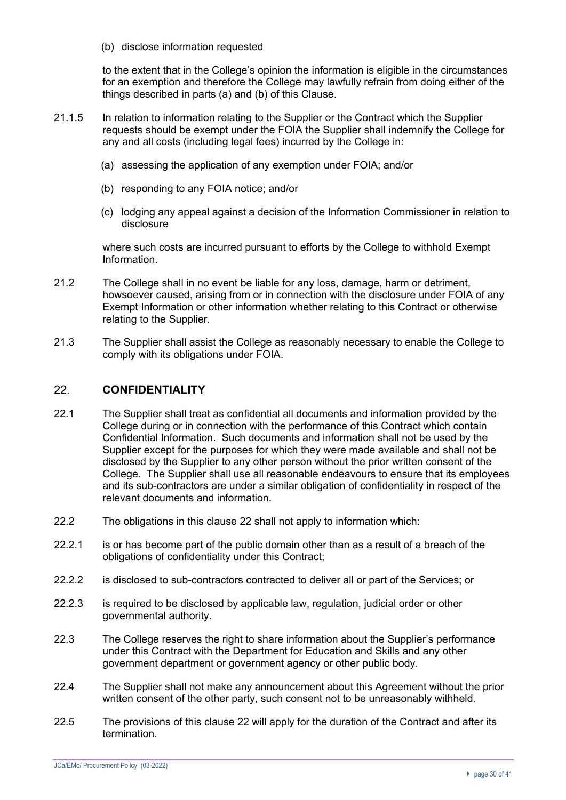(b) disclose information requested

to the extent that in the College's opinion the information is eligible in the circumstances for an exemption and therefore the College may lawfully refrain from doing either of the things described in parts (a) and (b) of this Clause.

- 21.1.5 In relation to information relating to the Supplier or the Contract which the Supplier requests should be exempt under the FOIA the Supplier shall indemnify the College for any and all costs (including legal fees) incurred by the College in:
	- (a) assessing the application of any exemption under FOIA; and/or
	- (b) responding to any FOIA notice; and/or
	- (c) lodging any appeal against a decision of the Information Commissioner in relation to disclosure

where such costs are incurred pursuant to efforts by the College to withhold Exempt Information.

- 21.2 The College shall in no event be liable for any loss, damage, harm or detriment, howsoever caused, arising from or in connection with the disclosure under FOIA of any Exempt Information or other information whether relating to this Contract or otherwise relating to the Supplier.
- 21.3 The Supplier shall assist the College as reasonably necessary to enable the College to comply with its obligations under FOIA.

### 22. **CONFIDENTIALITY**

- 22.1 The Supplier shall treat as confidential all documents and information provided by the College during or in connection with the performance of this Contract which contain Confidential Information. Such documents and information shall not be used by the Supplier except for the purposes for which they were made available and shall not be disclosed by the Supplier to any other person without the prior written consent of the College. The Supplier shall use all reasonable endeavours to ensure that its employees and its sub-contractors are under a similar obligation of confidentiality in respect of the relevant documents and information.
- 22.2 The obligations in this clause 22 shall not apply to information which:
- 22.2.1 is or has become part of the public domain other than as a result of a breach of the obligations of confidentiality under this Contract;
- 22.2.2 is disclosed to sub-contractors contracted to deliver all or part of the Services; or
- 22.2.3 is required to be disclosed by applicable law, regulation, judicial order or other governmental authority.
- 22.3 The College reserves the right to share information about the Supplier's performance under this Contract with the Department for Education and Skills and any other government department or government agency or other public body.
- 22.4 The Supplier shall not make any announcement about this Agreement without the prior written consent of the other party, such consent not to be unreasonably withheld.
- 22.5 The provisions of this clause 22 will apply for the duration of the Contract and after its termination.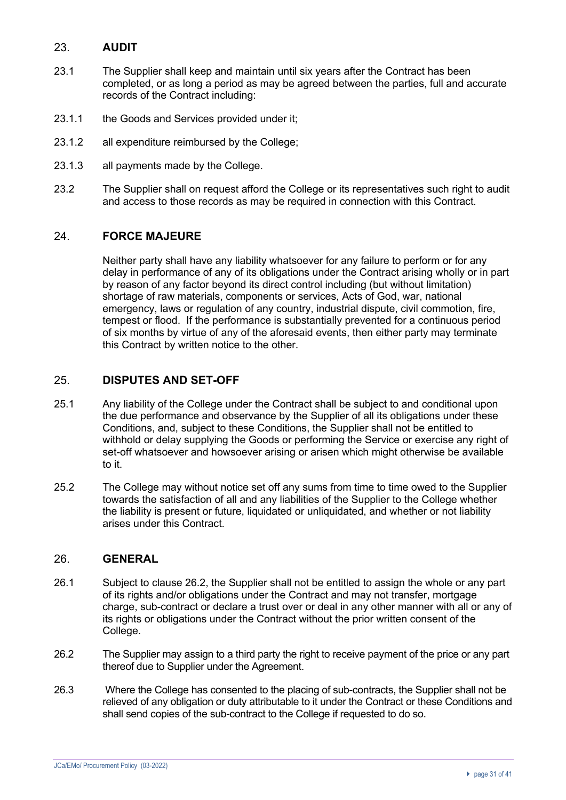# 23. **AUDIT**

- 23.1 The Supplier shall keep and maintain until six years after the Contract has been completed, or as long a period as may be agreed between the parties, full and accurate records of the Contract including:
- 23.1.1 the Goods and Services provided under it;
- 23.1.2 all expenditure reimbursed by the College;
- 23.1.3 all payments made by the College.
- 23.2 The Supplier shall on request afford the College or its representatives such right to audit and access to those records as may be required in connection with this Contract.

## 24. **FORCE MAJEURE**

Neither party shall have any liability whatsoever for any failure to perform or for any delay in performance of any of its obligations under the Contract arising wholly or in part by reason of any factor beyond its direct control including (but without limitation) shortage of raw materials, components or services, Acts of God, war, national emergency, laws or regulation of any country, industrial dispute, civil commotion, fire, tempest or flood. If the performance is substantially prevented for a continuous period of six months by virtue of any of the aforesaid events, then either party may terminate this Contract by written notice to the other.

# 25. **DISPUTES AND SET-OFF**

- 25.1 Any liability of the College under the Contract shall be subject to and conditional upon the due performance and observance by the Supplier of all its obligations under these Conditions, and, subject to these Conditions, the Supplier shall not be entitled to withhold or delay supplying the Goods or performing the Service or exercise any right of set-off whatsoever and howsoever arising or arisen which might otherwise be available to it.
- 25.2 The College may without notice set off any sums from time to time owed to the Supplier towards the satisfaction of all and any liabilities of the Supplier to the College whether the liability is present or future, liquidated or unliquidated, and whether or not liability arises under this Contract.

## 26. **GENERAL**

- 26.1 Subject to clause 26.2, the Supplier shall not be entitled to assign the whole or any part of its rights and/or obligations under the Contract and may not transfer, mortgage charge, sub-contract or declare a trust over or deal in any other manner with all or any of its rights or obligations under the Contract without the prior written consent of the College.
- 26.2 The Supplier may assign to a third party the right to receive payment of the price or any part thereof due to Supplier under the Agreement.
- 26.3 Where the College has consented to the placing of sub-contracts, the Supplier shall not be relieved of any obligation or duty attributable to it under the Contract or these Conditions and shall send copies of the sub-contract to the College if requested to do so.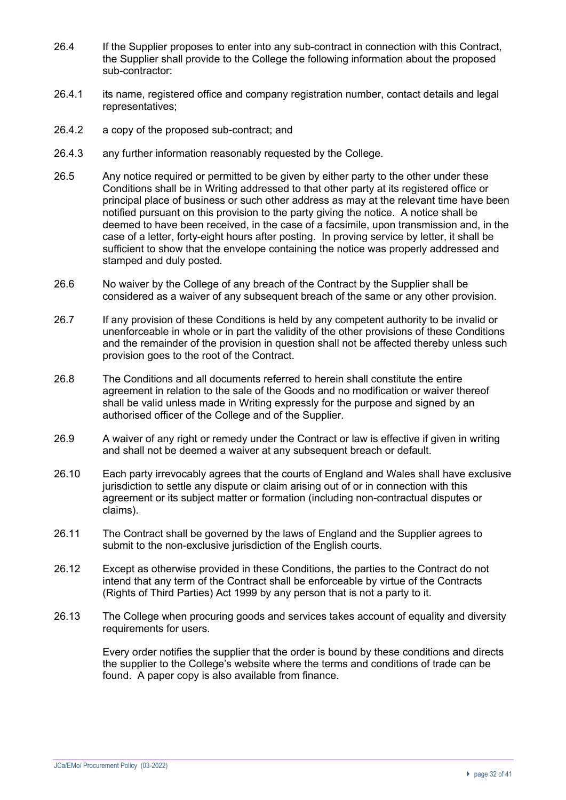- 26.4 If the Supplier proposes to enter into any sub-contract in connection with this Contract, the Supplier shall provide to the College the following information about the proposed sub-contractor:
- 26.4.1 its name, registered office and company registration number, contact details and legal representatives;
- 26.4.2 a copy of the proposed sub-contract; and
- 26.4.3 any further information reasonably requested by the College.
- 26.5 Any notice required or permitted to be given by either party to the other under these Conditions shall be in Writing addressed to that other party at its registered office or principal place of business or such other address as may at the relevant time have been notified pursuant on this provision to the party giving the notice. A notice shall be deemed to have been received, in the case of a facsimile, upon transmission and, in the case of a letter, forty-eight hours after posting. In proving service by letter, it shall be sufficient to show that the envelope containing the notice was properly addressed and stamped and duly posted.
- 26.6 No waiver by the College of any breach of the Contract by the Supplier shall be considered as a waiver of any subsequent breach of the same or any other provision.
- 26.7 If any provision of these Conditions is held by any competent authority to be invalid or unenforceable in whole or in part the validity of the other provisions of these Conditions and the remainder of the provision in question shall not be affected thereby unless such provision goes to the root of the Contract.
- 26.8 The Conditions and all documents referred to herein shall constitute the entire agreement in relation to the sale of the Goods and no modification or waiver thereof shall be valid unless made in Writing expressly for the purpose and signed by an authorised officer of the College and of the Supplier.
- 26.9 A waiver of any right or remedy under the Contract or law is effective if given in writing and shall not be deemed a waiver at any subsequent breach or default.
- 26.10 Each party irrevocably agrees that the courts of England and Wales shall have exclusive jurisdiction to settle any dispute or claim arising out of or in connection with this agreement or its subject matter or formation (including non-contractual disputes or claims).
- 26.11 The Contract shall be governed by the laws of England and the Supplier agrees to submit to the non-exclusive jurisdiction of the English courts.
- 26.12 Except as otherwise provided in these Conditions, the parties to the Contract do not intend that any term of the Contract shall be enforceable by virtue of the Contracts (Rights of Third Parties) Act 1999 by any person that is not a party to it.
- 26.13 The College when procuring goods and services takes account of equality and diversity requirements for users.

Every order notifies the supplier that the order is bound by these conditions and directs the supplier to the College's website where the terms and conditions of trade can be found. A paper copy is also available from finance.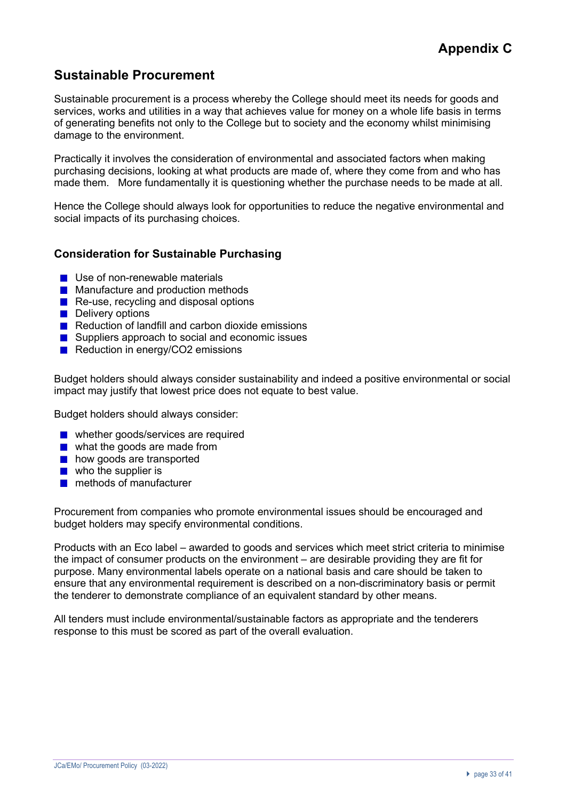# **Sustainable Procurement**

Sustainable procurement is a process whereby the College should meet its needs for goods and services, works and utilities in a way that achieves value for money on a whole life basis in terms of generating benefits not only to the College but to society and the economy whilst minimising damage to the environment.

Practically it involves the consideration of environmental and associated factors when making purchasing decisions, looking at what products are made of, where they come from and who has made them. More fundamentally it is questioning whether the purchase needs to be made at all.

Hence the College should always look for opportunities to reduce the negative environmental and social impacts of its purchasing choices.

## **Consideration for Sustainable Purchasing**

- Use of non-renewable materials
- **Manufacture and production methods**
- Re-use, recycling and disposal options
- **Delivery options**
- $\blacksquare$  Reduction of landfill and carbon dioxide emissions
- Suppliers approach to social and economic issues
- Reduction in energy/CO2 emissions

Budget holders should always consider sustainability and indeed a positive environmental or social impact may justify that lowest price does not equate to best value.

Budget holders should always consider:

- whether goods/services are required
- what the goods are made from
- how goods are transported
- $\blacksquare$  who the supplier is
- **n** methods of manufacturer

Procurement from companies who promote environmental issues should be encouraged and budget holders may specify environmental conditions.

Products with an Eco label – awarded to goods and services which meet strict criteria to minimise the impact of consumer products on the environment – are desirable providing they are fit for purpose. Many environmental labels operate on a national basis and care should be taken to ensure that any environmental requirement is described on a non-discriminatory basis or permit the tenderer to demonstrate compliance of an equivalent standard by other means.

All tenders must include environmental/sustainable factors as appropriate and the tenderers response to this must be scored as part of the overall evaluation.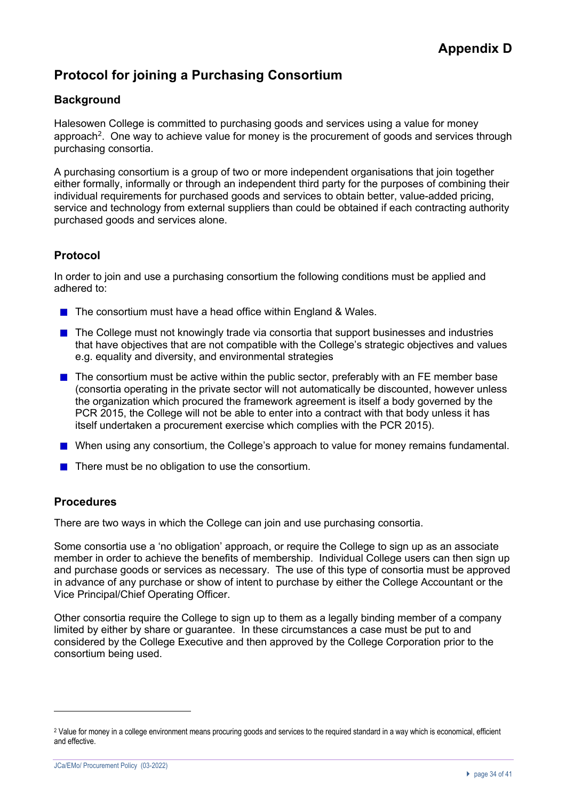# **Protocol for joining a Purchasing Consortium**

# **Background**

Halesowen College is committed to purchasing goods and services using a value for money approach<sup>2</sup>. One way to achieve value for money is the procurement of goods and services through purchasing consortia.

A purchasing consortium is a group of two or more independent organisations that join together either formally, informally or through an independent third party for the purposes of combining their individual requirements for purchased goods and services to obtain better, value-added pricing, service and technology from external suppliers than could be obtained if each contracting authority purchased goods and services alone.

# **Protocol**

In order to join and use a purchasing consortium the following conditions must be applied and adhered to:

- $\blacksquare$  The consortium must have a head office within England & Wales.
- **The College must not knowingly trade via consortia that support businesses and industries** that have objectives that are not compatible with the College's strategic objectives and values e.g. equality and diversity, and environmental strategies
- $\blacksquare$  The consortium must be active within the public sector, preferably with an FE member base (consortia operating in the private sector will not automatically be discounted, however unless the organization which procured the framework agreement is itself a body governed by the PCR 2015, the College will not be able to enter into a contract with that body unless it has itself undertaken a procurement exercise which complies with the PCR 2015).
- **Notable 10 When using any consortium, the College's approach to value for money remains fundamental.**
- $\blacksquare$  There must be no obligation to use the consortium.

# **Procedures**

There are two ways in which the College can join and use purchasing consortia.

Some consortia use a 'no obligation' approach, or require the College to sign up as an associate member in order to achieve the benefits of membership. Individual College users can then sign up and purchase goods or services as necessary. The use of this type of consortia must be approved in advance of any purchase or show of intent to purchase by either the College Accountant or the Vice Principal/Chief Operating Officer.

Other consortia require the College to sign up to them as a legally binding member of a company limited by either by share or guarantee. In these circumstances a case must be put to and considered by the College Executive and then approved by the College Corporation prior to the consortium being used.

<sup>&</sup>lt;sup>2</sup> Value for money in a college environment means procuring goods and services to the required standard in a way which is economical, efficient and effective.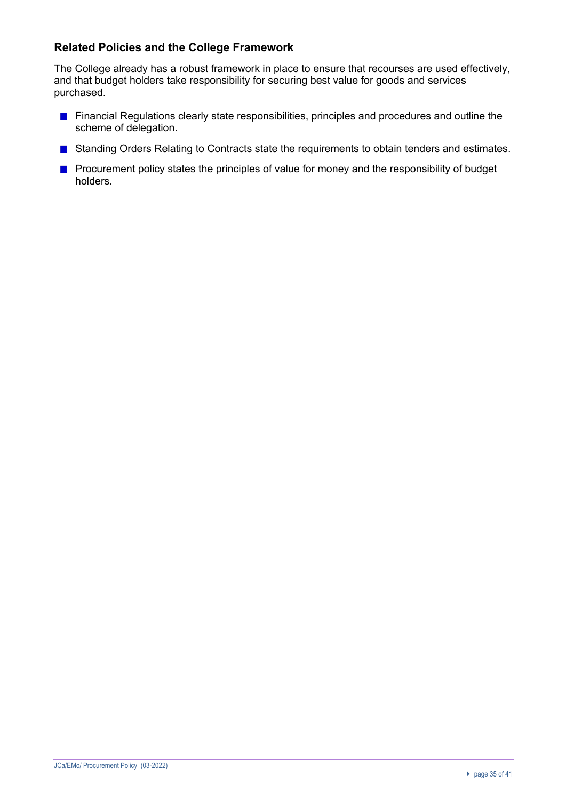# **Related Policies and the College Framework**

The College already has a robust framework in place to ensure that recourses are used effectively, and that budget holders take responsibility for securing best value for goods and services purchased.

- **Financial Regulations clearly state responsibilities, principles and procedures and outline the** scheme of delegation.
- Standing Orders Relating to Contracts state the requirements to obtain tenders and estimates.
- **Procurement policy states the principles of value for money and the responsibility of budget** holders.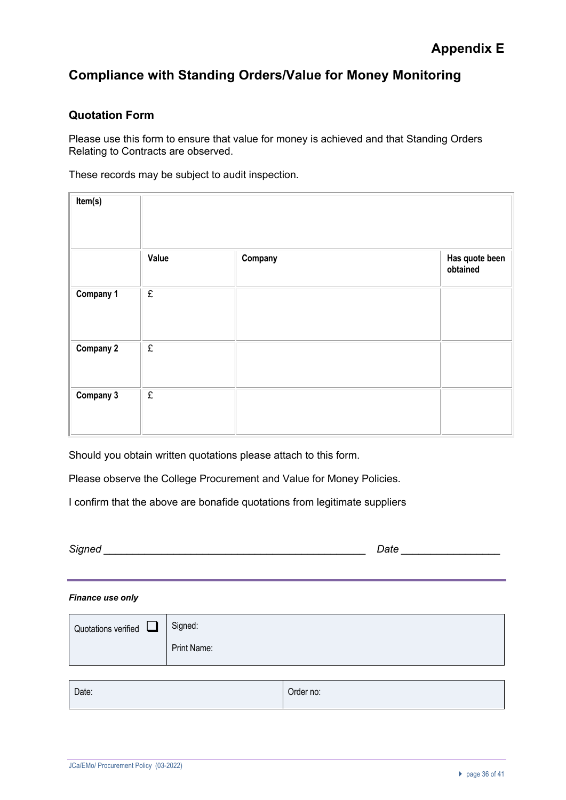# **Compliance with Standing Orders/Value for Money Monitoring**

# **Quotation Form**

Please use this form to ensure that value for money is achieved and that Standing Orders Relating to Contracts are observed.

These records may be subject to audit inspection.

| Item(s)          |           |         |                            |
|------------------|-----------|---------|----------------------------|
|                  | Value     | Company | Has quote been<br>obtained |
| Company 1        | $\pounds$ |         |                            |
| <b>Company 2</b> | £         |         |                            |
| Company 3        | £         |         |                            |

Should you obtain written quotations please attach to this form.

Please observe the College Procurement and Value for Money Policies.

I confirm that the above are bonafide quotations from legitimate suppliers

| $\overline{\phantom{0}}$<br>. .<br>_ | __ |
|--------------------------------------|----|
|                                      |    |

#### *Finance use only*

| Quotations verified $\Box$ | Signed:     |
|----------------------------|-------------|
|                            | Print Name: |
|                            |             |

| Date: | Order no: |
|-------|-----------|
|       |           |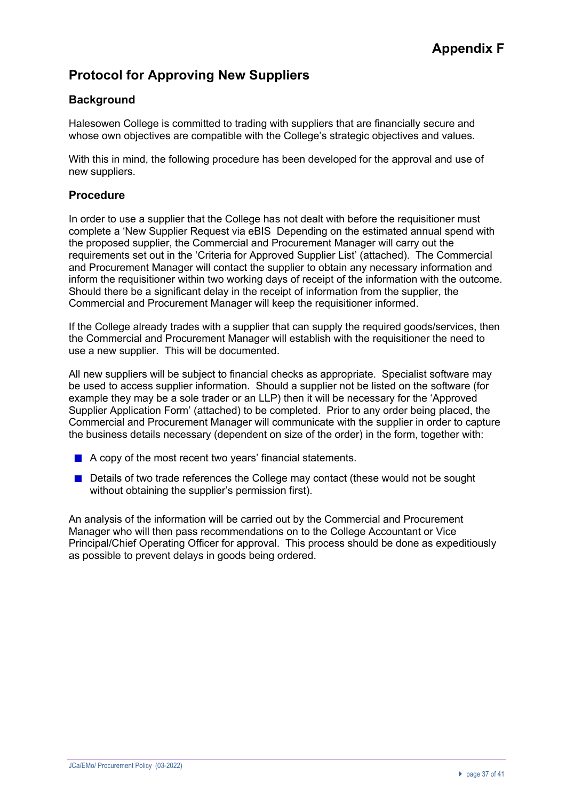# **Protocol for Approving New Suppliers**

# **Background**

Halesowen College is committed to trading with suppliers that are financially secure and whose own objectives are compatible with the College's strategic objectives and values.

With this in mind, the following procedure has been developed for the approval and use of new suppliers.

### **Procedure**

In order to use a supplier that the College has not dealt with before the requisitioner must complete a 'New Supplier Request via eBIS Depending on the estimated annual spend with the proposed supplier, the Commercial and Procurement Manager will carry out the requirements set out in the 'Criteria for Approved Supplier List' (attached). The Commercial and Procurement Manager will contact the supplier to obtain any necessary information and inform the requisitioner within two working days of receipt of the information with the outcome. Should there be a significant delay in the receipt of information from the supplier, the Commercial and Procurement Manager will keep the requisitioner informed.

If the College already trades with a supplier that can supply the required goods/services, then the Commercial and Procurement Manager will establish with the requisitioner the need to use a new supplier. This will be documented.

All new suppliers will be subject to financial checks as appropriate. Specialist software may be used to access supplier information. Should a supplier not be listed on the software (for example they may be a sole trader or an LLP) then it will be necessary for the 'Approved Supplier Application Form' (attached) to be completed. Prior to any order being placed, the Commercial and Procurement Manager will communicate with the supplier in order to capture the business details necessary (dependent on size of the order) in the form, together with:

- A copy of the most recent two years' financial statements.
- Details of two trade references the College may contact (these would not be sought without obtaining the supplier's permission first).

An analysis of the information will be carried out by the Commercial and Procurement Manager who will then pass recommendations on to the College Accountant or Vice Principal/Chief Operating Officer for approval. This process should be done as expeditiously as possible to prevent delays in goods being ordered.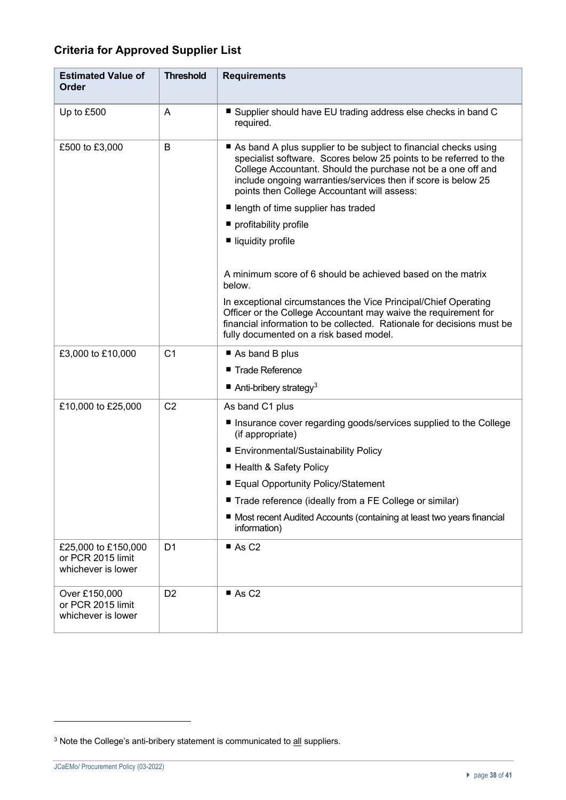# **Criteria for Approved Supplier List**

| <b>Estimated Value of</b><br>Order                             | <b>Threshold</b> | <b>Requirements</b>                                                                                                                                                                                                                                                                                                  |
|----------------------------------------------------------------|------------------|----------------------------------------------------------------------------------------------------------------------------------------------------------------------------------------------------------------------------------------------------------------------------------------------------------------------|
| Up to £500                                                     | Α                | ■ Supplier should have EU trading address else checks in band C<br>required.                                                                                                                                                                                                                                         |
| £500 to £3,000                                                 | B                | As band A plus supplier to be subject to financial checks using<br>specialist software. Scores below 25 points to be referred to the<br>College Accountant. Should the purchase not be a one off and<br>include ongoing warranties/services then if score is below 25<br>points then College Accountant will assess: |
|                                                                |                  | length of time supplier has traded                                                                                                                                                                                                                                                                                   |
|                                                                |                  | profitability profile                                                                                                                                                                                                                                                                                                |
|                                                                |                  | ■ liquidity profile                                                                                                                                                                                                                                                                                                  |
|                                                                |                  |                                                                                                                                                                                                                                                                                                                      |
|                                                                |                  | A minimum score of 6 should be achieved based on the matrix<br>below.                                                                                                                                                                                                                                                |
|                                                                |                  | In exceptional circumstances the Vice Principal/Chief Operating<br>Officer or the College Accountant may waive the requirement for<br>financial information to be collected. Rationale for decisions must be<br>fully documented on a risk based model.                                                              |
| £3,000 to £10,000                                              | C <sub>1</sub>   | As band B plus                                                                                                                                                                                                                                                                                                       |
|                                                                |                  | ■ Trade Reference                                                                                                                                                                                                                                                                                                    |
|                                                                |                  | Anti-bribery strategy <sup>3</sup>                                                                                                                                                                                                                                                                                   |
| £10,000 to £25,000                                             | C <sub>2</sub>   | As band C1 plus                                                                                                                                                                                                                                                                                                      |
|                                                                |                  | Insurance cover regarding goods/services supplied to the College<br>(if appropriate)                                                                                                                                                                                                                                 |
|                                                                |                  | ■ Environmental/Sustainability Policy                                                                                                                                                                                                                                                                                |
|                                                                |                  | ■ Health & Safety Policy                                                                                                                                                                                                                                                                                             |
|                                                                |                  | ■ Equal Opportunity Policy/Statement                                                                                                                                                                                                                                                                                 |
|                                                                |                  | Trade reference (ideally from a FE College or similar)                                                                                                                                                                                                                                                               |
|                                                                |                  | ■ Most recent Audited Accounts (containing at least two years financial<br>information)                                                                                                                                                                                                                              |
| £25,000 to £150,000<br>or PCR 2015 limit<br>whichever is lower | D <sub>1</sub>   | AsC2                                                                                                                                                                                                                                                                                                                 |
| Over £150,000<br>or PCR 2015 limit<br>whichever is lower       | D <sub>2</sub>   | AsC2                                                                                                                                                                                                                                                                                                                 |

<sup>&</sup>lt;sup>3</sup> Note the College's anti-bribery statement is communicated to all suppliers.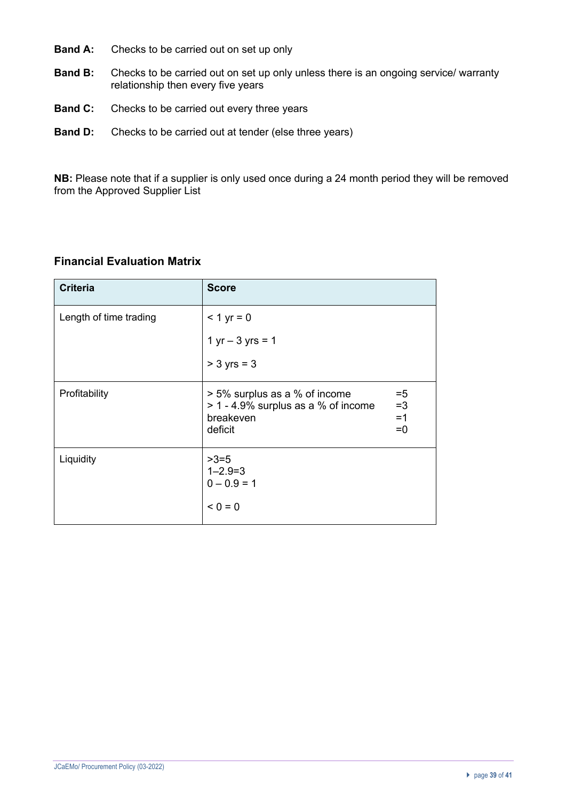- **Band A:** Checks to be carried out on set up only
- **Band B:** Checks to be carried out on set up only unless there is an ongoing service/ warranty relationship then every five years
- **Band C:** Checks to be carried out every three years
- **Band D:** Checks to be carried out at tender (else three years)

**NB:** Please note that if a supplier is only used once during a 24 month period they will be removed from the Approved Supplier List

# **Financial Evaluation Matrix**

| <b>Criteria</b>        | <b>Score</b>                                                                                                                  |
|------------------------|-------------------------------------------------------------------------------------------------------------------------------|
| Length of time trading | $< 1 yr = 0$                                                                                                                  |
|                        | $1 yr - 3 yrs = 1$                                                                                                            |
|                        | $> 3$ yrs = 3                                                                                                                 |
| Profitability          | > 5% surplus as a % of income<br>$=5$<br>> 1 - 4.9% surplus as a % of income<br>$=3$<br>$=1$<br>breakeven<br>deficit<br>$= 0$ |
| Liquidity              | $>3=5$<br>$1 - 2.9 = 3$<br>$0 - 0.9 = 1$<br>$0 = 0$                                                                           |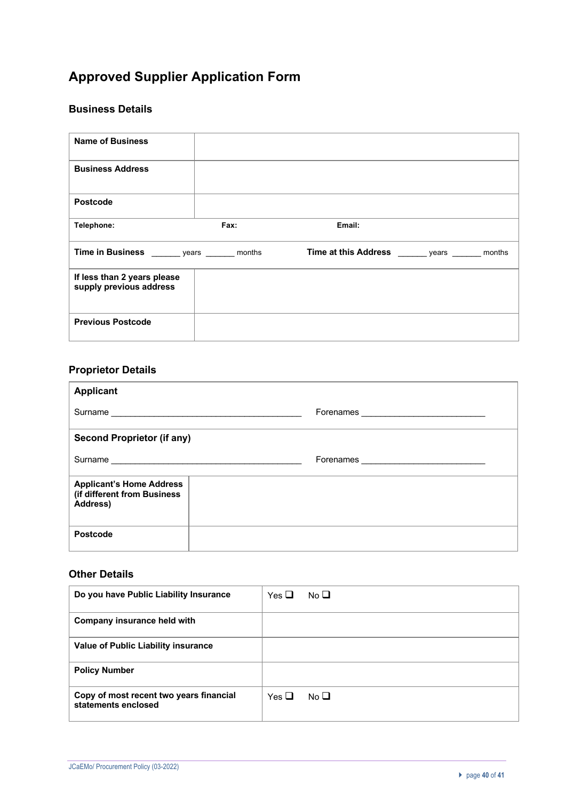# **Approved Supplier Application Form**

## **Business Details**

| <b>Name of Business</b>                                |      |                                            |        |
|--------------------------------------------------------|------|--------------------------------------------|--------|
| <b>Business Address</b>                                |      |                                            |        |
| Postcode                                               |      |                                            |        |
| Telephone:                                             | Fax: | Email:                                     |        |
| Time in Business ________ years ________ months        |      | Time at this Address ________ years ______ | months |
| If less than 2 years please<br>supply previous address |      |                                            |        |
| <b>Previous Postcode</b>                               |      |                                            |        |

# **Proprietor Details**

| <b>Applicant</b>                                                           |                                                                                                                                                                                                                                    |
|----------------------------------------------------------------------------|------------------------------------------------------------------------------------------------------------------------------------------------------------------------------------------------------------------------------------|
| Surname                                                                    | Forenames <b>contained contained a set of the set of the set of the set of the set of the set of the set of the set of the set of the set of the set of the set of the set of the set of the set of the set of the set of the </b> |
| <b>Second Proprietor (if any)</b>                                          |                                                                                                                                                                                                                                    |
|                                                                            |                                                                                                                                                                                                                                    |
| <b>Applicant's Home Address</b><br>(if different from Business<br>Address) |                                                                                                                                                                                                                                    |
| <b>Postcode</b>                                                            |                                                                                                                                                                                                                                    |

# **Other Details**

| Do you have Public Liability Insurance                         | Yes $\Box$<br>No $\square$ |
|----------------------------------------------------------------|----------------------------|
| Company insurance held with                                    |                            |
| Value of Public Liability insurance                            |                            |
| <b>Policy Number</b>                                           |                            |
| Copy of most recent two years financial<br>statements enclosed | Yes $\Box$<br>No $\square$ |